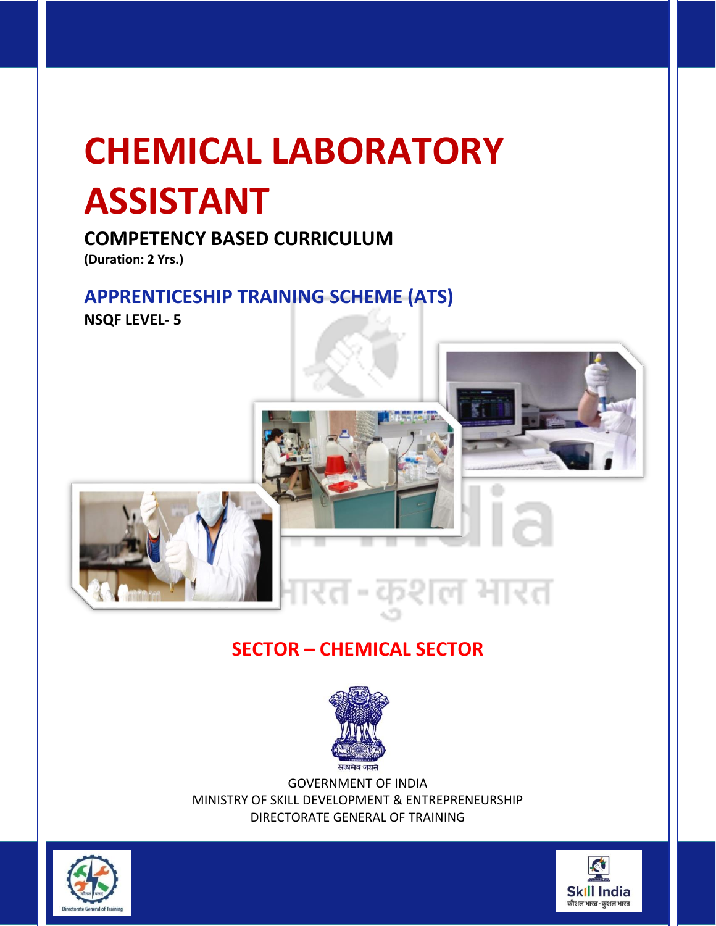### **CHEMICAL LABORATORY ASSISTANT**

**COMPETENCY BASED CURRICULUM (Duration: 2 Yrs.)**

#### **APPRENTICESHIP TRAINING SCHEME (ATS)**

**NSQF LEVEL- 5**

### ा भारत

### **SECTOR – CHEMICAL SECTOR**



GOVERNMENT OF INDIA MINISTRY OF SKILL DEVELOPMENT & ENTREPRENEURSHIP DIRECTORATE GENERAL OF TRAINING



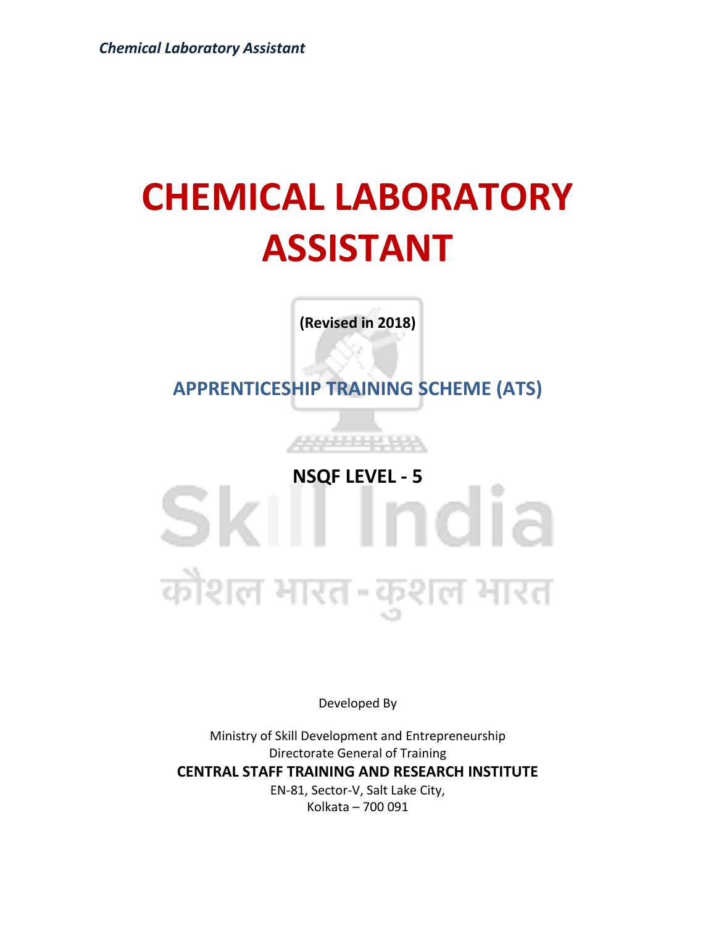### **CHEMICAL LABORATORY ASSISTANT**

**(Revised in 2018)**

#### **APPRENTICESHIP TRAINING SCHEME (ATS)**

55555555555

**Ski nsqr** LEVEL - 5<br> **Ski nd 1** कोशल भारत-कुशल भारत

Developed By

Ministry of Skill Development and Entrepreneurship Directorate General of Training **CENTRAL STAFF TRAINING AND RESEARCH INSTITUTE** EN-81, Sector-V, Salt Lake City, Kolkata – 700 091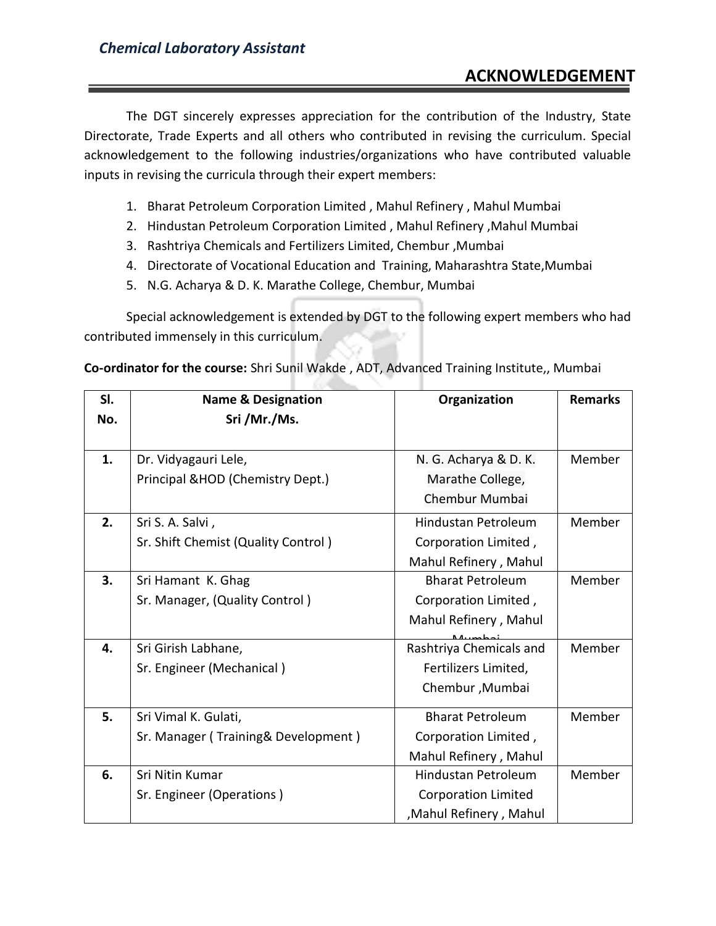The DGT sincerely expresses appreciation for the contribution of the Industry, State Directorate, Trade Experts and all others who contributed in revising the curriculum. Special acknowledgement to the following industries/organizations who have contributed valuable inputs in revising the curricula through their expert members:

- 1. Bharat Petroleum Corporation Limited , Mahul Refinery , Mahul Mumbai
- 2. Hindustan Petroleum Corporation Limited , Mahul Refinery ,Mahul Mumbai
- 3. Rashtriya Chemicals and Fertilizers Limited, Chembur ,Mumbai
- 4. Directorate of Vocational Education and Training, Maharashtra State,Mumbai
- 5. N.G. Acharya & D. K. Marathe College, Chembur, Mumbai

Special acknowledgement is extended by DGT to the following expert members who had contributed immensely in this curriculum.

**Co-ordinator for the course:** Shri Sunil Wakde , ADT, Advanced Training Institute,, Mumbai

| SI. | <b>Name &amp; Designation</b>       | Organization               | <b>Remarks</b> |
|-----|-------------------------------------|----------------------------|----------------|
| No. | Sri /Mr./Ms.                        |                            |                |
|     |                                     |                            |                |
| 1.  | Dr. Vidyagauri Lele,                | N. G. Acharya & D. K.      | Member         |
|     | Principal & HOD (Chemistry Dept.)   | Marathe College,           |                |
|     |                                     | Chembur Mumbai             |                |
| 2.  | Sri S. A. Salvi,                    | Hindustan Petroleum        | Member         |
|     | Sr. Shift Chemist (Quality Control) | Corporation Limited,       |                |
|     |                                     | Mahul Refinery, Mahul      |                |
| 3.  | Sri Hamant K. Ghag                  | <b>Bharat Petroleum</b>    | Member         |
|     | Sr. Manager, (Quality Control)      | Corporation Limited,       |                |
|     |                                     | Mahul Refinery, Mahul      |                |
| 4.  |                                     | M                          | Member         |
|     | Sri Girish Labhane,                 | Rashtriya Chemicals and    |                |
|     | Sr. Engineer (Mechanical)           | Fertilizers Limited,       |                |
|     |                                     | Chembur, Mumbai            |                |
| 5.  | Sri Vimal K. Gulati,                | <b>Bharat Petroleum</b>    | Member         |
|     | Sr. Manager (Training& Development) | Corporation Limited,       |                |
|     |                                     | Mahul Refinery, Mahul      |                |
| 6.  | Sri Nitin Kumar                     | <b>Hindustan Petroleum</b> | Member         |
|     | Sr. Engineer (Operations)           | <b>Corporation Limited</b> |                |
|     |                                     | , Mahul Refinery, Mahul    |                |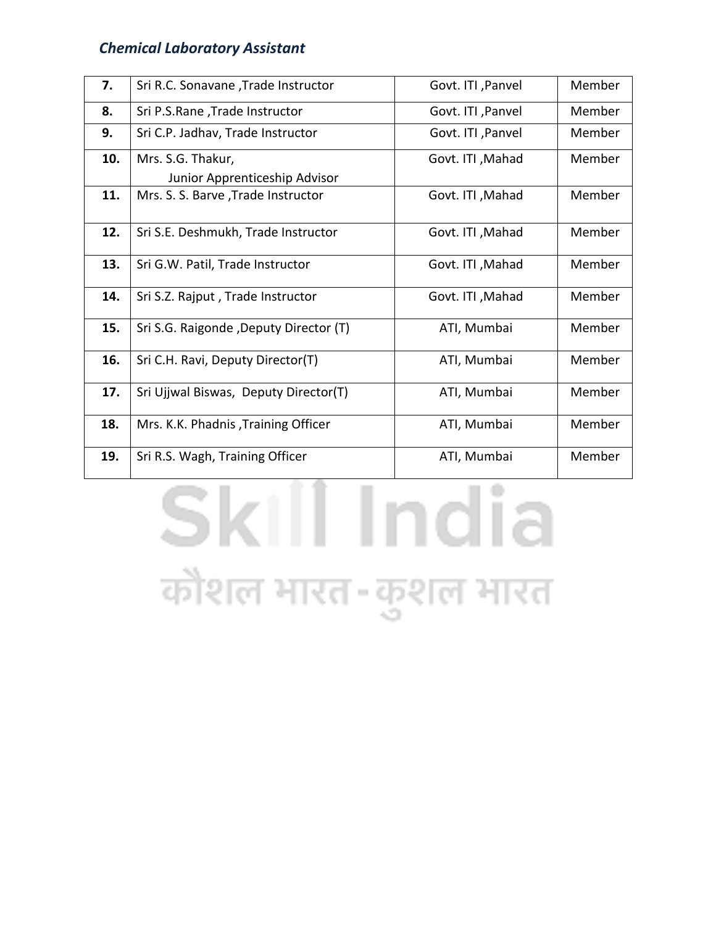| 7.  | Sri R.C. Sonavane, Trade Instructor    | Govt. ITI, Panvel | Member |
|-----|----------------------------------------|-------------------|--------|
| 8.  | Sri P.S.Rane, Trade Instructor         | Govt. ITI, Panvel | Member |
| 9.  | Sri C.P. Jadhav, Trade Instructor      | Govt. ITI, Panvel | Member |
| 10. | Mrs. S.G. Thakur,                      | Govt. ITI, Mahad  | Member |
|     | Junior Apprenticeship Advisor          |                   |        |
| 11. | Mrs. S. S. Barve, Trade Instructor     | Govt. ITI, Mahad  | Member |
| 12. | Sri S.E. Deshmukh, Trade Instructor    | Govt. ITI, Mahad  | Member |
| 13. | Sri G.W. Patil, Trade Instructor       | Govt. ITI, Mahad  | Member |
| 14. | Sri S.Z. Rajput, Trade Instructor      | Govt. ITI, Mahad  | Member |
| 15. | Sri S.G. Raigonde, Deputy Director (T) | ATI, Mumbai       | Member |
| 16. | Sri C.H. Ravi, Deputy Director(T)      | ATI, Mumbai       | Member |
| 17. | Sri Ujjwal Biswas, Deputy Director(T)  | ATI, Mumbai       | Member |
| 18. | Mrs. K.K. Phadnis, Training Officer    | ATI, Mumbai       | Member |
| 19. | Sri R.S. Wagh, Training Officer        | ATI, Mumbai       | Member |

## Skill India कोशल भारत-कुशल भारत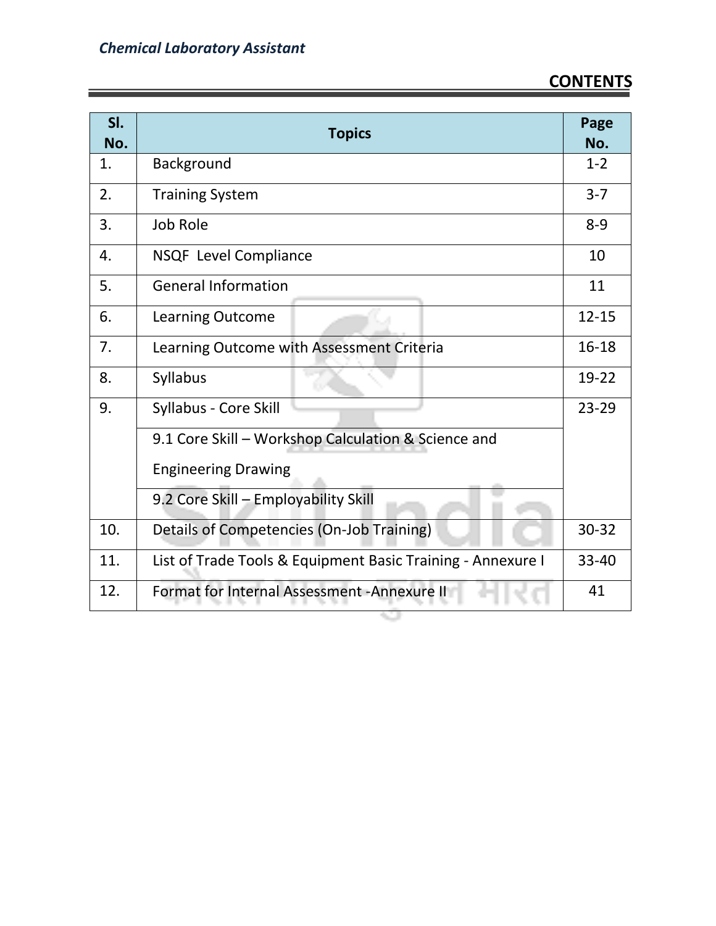#### **CONTENTS**

| SI.<br>No. | <b>Topics</b>                                               | Page<br>No. |  |
|------------|-------------------------------------------------------------|-------------|--|
| 1.         | Background                                                  | $1 - 2$     |  |
| 2.         | <b>Training System</b>                                      | $3 - 7$     |  |
| 3.         | <b>Job Role</b>                                             | $8 - 9$     |  |
| 4.         | <b>NSQF Level Compliance</b>                                | 10          |  |
| 5.         | <b>General Information</b>                                  | 11          |  |
| 6.         | <b>Learning Outcome</b>                                     | $12 - 15$   |  |
| 7.         | Learning Outcome with Assessment Criteria                   | $16 - 18$   |  |
| 8.         | <b>Syllabus</b>                                             | $19 - 22$   |  |
| 9.         | Syllabus - Core Skill                                       | $23 - 29$   |  |
|            | 9.1 Core Skill - Workshop Calculation & Science and         |             |  |
|            | <b>Engineering Drawing</b>                                  |             |  |
|            | 9.2 Core Skill - Employability Skill                        |             |  |
| 10.        | Details of Competencies (On-Job Training)                   |             |  |
| 11.        | List of Trade Tools & Equipment Basic Training - Annexure I |             |  |
| 12.        | Format for Internal Assessment - Annexure II                | 41          |  |

¢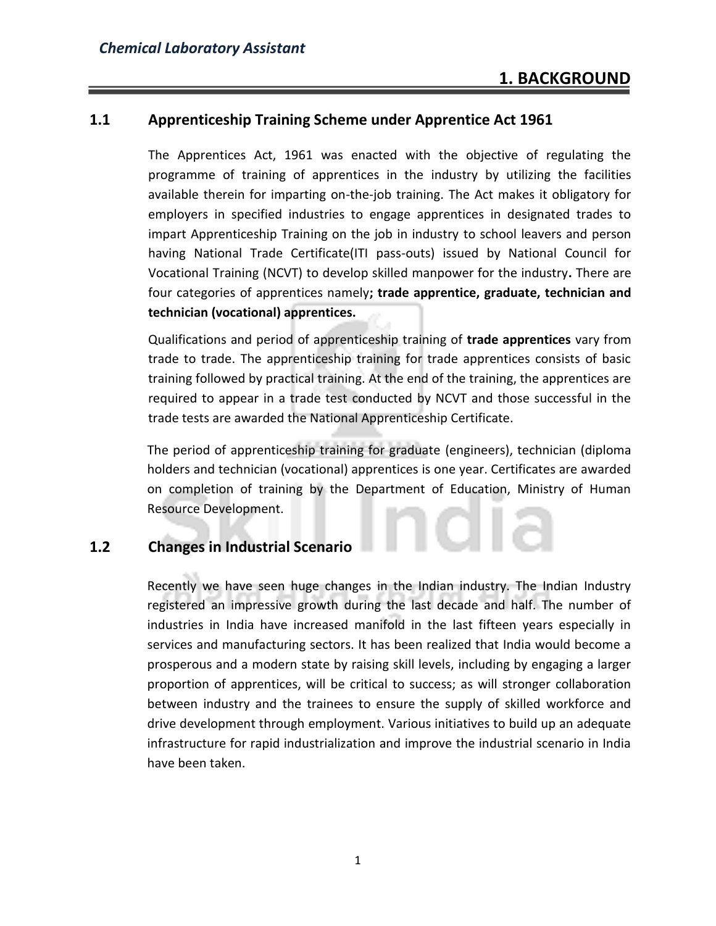#### **1.1 Apprenticeship Training Scheme under Apprentice Act 1961**

The Apprentices Act, 1961 was enacted with the objective of regulating the programme of training of apprentices in the industry by utilizing the facilities available therein for imparting on-the-job training. The Act makes it obligatory for employers in specified industries to engage apprentices in designated trades to impart Apprenticeship Training on the job in industry to school leavers and person having National Trade Certificate(ITI pass-outs) issued by National Council for Vocational Training (NCVT) to develop skilled manpower for the industry**.** There are four categories of apprentices namely**; trade apprentice, graduate, technician and technician (vocational) apprentices.** 

Qualifications and period of apprenticeship training of **trade apprentices** vary from trade to trade. The apprenticeship training for trade apprentices consists of basic training followed by practical training. At the end of the training, the apprentices are required to appear in a trade test conducted by NCVT and those successful in the trade tests are awarded the National Apprenticeship Certificate.

The period of apprenticeship training for graduate (engineers), technician (diploma holders and technician (vocational) apprentices is one year. Certificates are awarded on completion of training by the Department of Education, Ministry of Human Resource Development.

#### **1.2 Changes in Industrial Scenario**

Recently we have seen huge changes in the Indian industry. The Indian Industry registered an impressive growth during the last decade and half. The number of industries in India have increased manifold in the last fifteen years especially in services and manufacturing sectors. It has been realized that India would become a prosperous and a modern state by raising skill levels, including by engaging a larger proportion of apprentices, will be critical to success; as will stronger collaboration between industry and the trainees to ensure the supply of skilled workforce and drive development through employment. Various initiatives to build up an adequate infrastructure for rapid industrialization and improve the industrial scenario in India have been taken.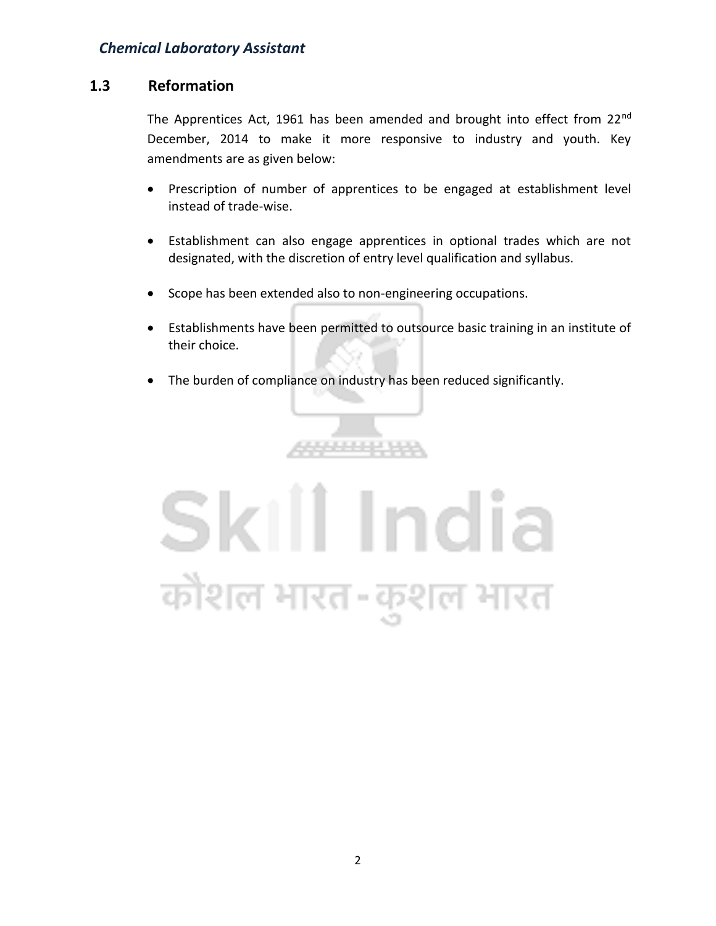#### **1.3 Reformation**

The Apprentices Act, 1961 has been amended and brought into effect from 22<sup>nd</sup> December, 2014 to make it more responsive to industry and youth. Key amendments are as given below:

- Prescription of number of apprentices to be engaged at establishment level instead of trade-wise.
- Establishment can also engage apprentices in optional trades which are not designated, with the discretion of entry level qualification and syllabus.
- Scope has been extended also to non-engineering occupations.
- Establishments have been permitted to outsource basic training in an institute of their choice.
- The burden of compliance on industry has been reduced significantly.

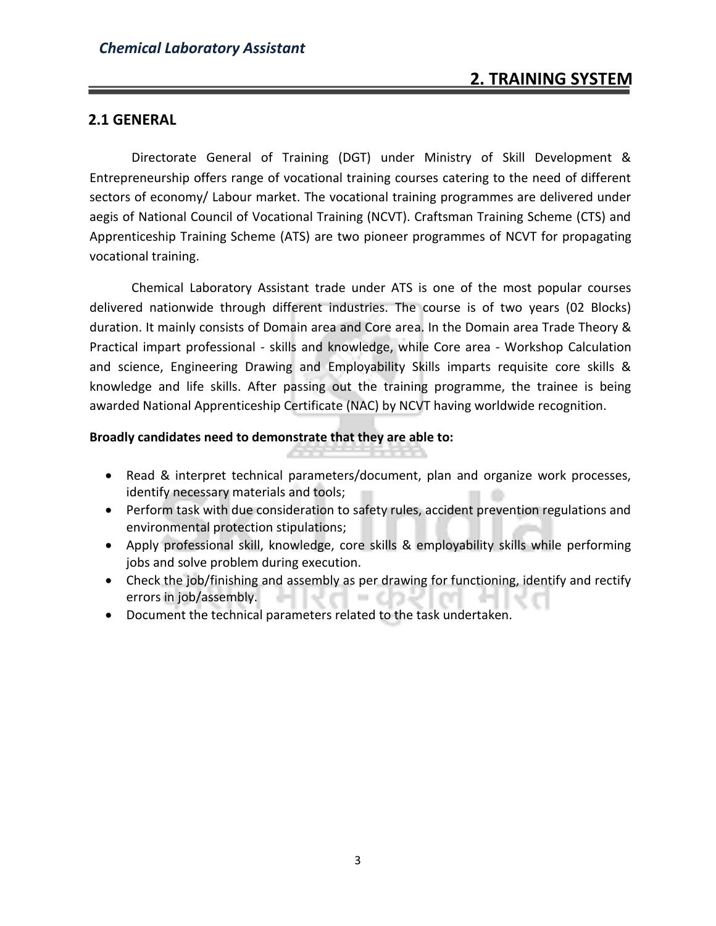#### **2.1 GENERAL**

Directorate General of Training (DGT) under Ministry of Skill Development & Entrepreneurship offers range of vocational training courses catering to the need of different sectors of economy/ Labour market. The vocational training programmes are delivered under aegis of National Council of Vocational Training (NCVT). Craftsman Training Scheme (CTS) and Apprenticeship Training Scheme (ATS) are two pioneer programmes of NCVT for propagating vocational training.

Chemical Laboratory Assistant trade under ATS is one of the most popular courses delivered nationwide through different industries. The course is of two years (02 Blocks) duration. It mainly consists of Domain area and Core area. In the Domain area Trade Theory & Practical impart professional - skills and knowledge, while Core area - Workshop Calculation and science, Engineering Drawing and Employability Skills imparts requisite core skills & knowledge and life skills. After passing out the training programme, the trainee is being awarded National Apprenticeship Certificate (NAC) by NCVT having worldwide recognition.

#### **Broadly candidates need to demonstrate that they are able to:**

- Read & interpret technical parameters/document, plan and organize work processes, identify necessary materials and tools;
- Perform task with due consideration to safety rules, accident prevention regulations and environmental protection stipulations;
- Apply professional skill, knowledge, core skills & employability skills while performing jobs and solve problem during execution.
- Check the job/finishing and assembly as per drawing for functioning, identify and rectify errors in job/assembly. l st **CHIL**
- Document the technical parameters related to the task undertaken.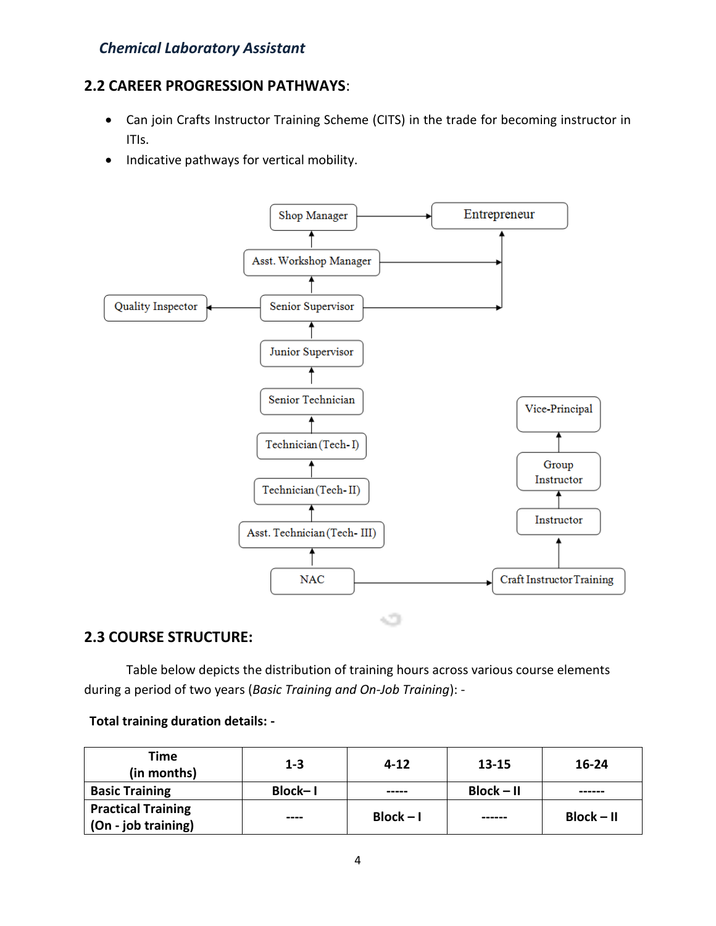#### **2.2 CAREER PROGRESSION PATHWAYS**:

- Can join Crafts Instructor Training Scheme (CITS) in the trade for becoming instructor in ITIs.
- Indicative pathways for vertical mobility.



#### **2.3 COURSE STRUCTURE:**

Table below depicts the distribution of training hours across various course elements during a period of two years (*Basic Training and On-Job Training*): -

#### **Total training duration details: -**

| Time                      | $1 - 3$       | $4 - 12$    | $13 - 15$    | 16-24        |
|---------------------------|---------------|-------------|--------------|--------------|
| (in months)               |               |             |              |              |
| <b>Basic Training</b>     | Block-I       | -----       | $Block - II$ | ------       |
| <b>Practical Training</b> |               |             |              |              |
| (On - job training)       | $\frac{1}{2}$ | $Block - I$ | ------       | $Block - II$ |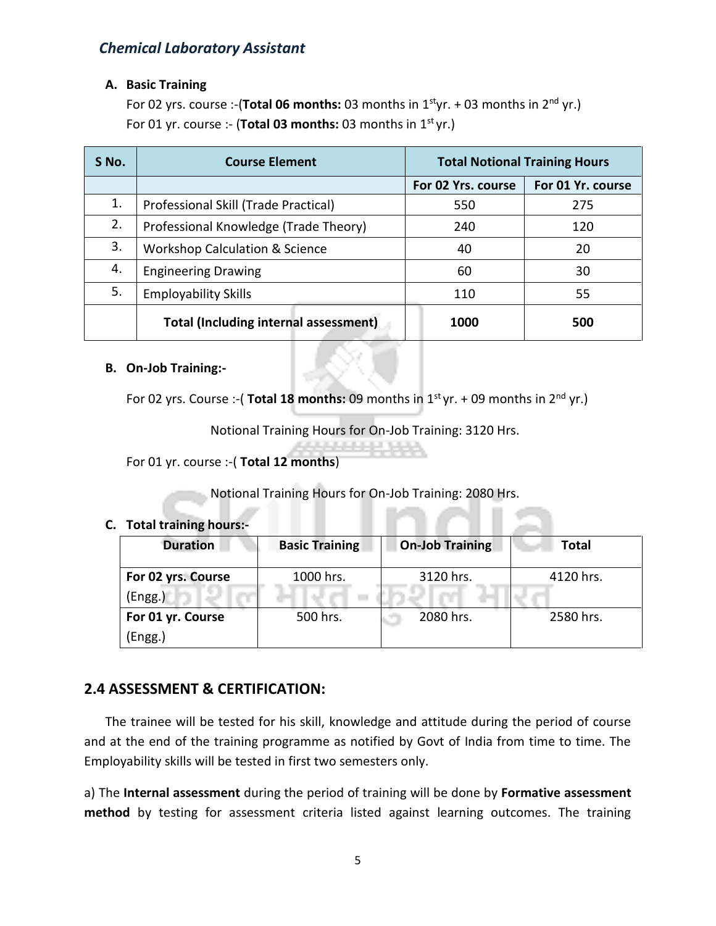#### **A. Basic Training**

For 02 yrs. course :-(**Total 06 months:** 03 months in  $1<sup>st</sup>yr. + 03$  months in  $2<sup>nd</sup> yr.$ ) For 01 yr. course :- (**Total 03 months:** 03 months in 1st yr.)

| S No. | <b>Course Element</b>                        | <b>Total Notional Training Hours</b> |                   |
|-------|----------------------------------------------|--------------------------------------|-------------------|
|       |                                              | For 02 Yrs. course                   | For 01 Yr. course |
| 1.    | Professional Skill (Trade Practical)         | 550                                  | 275               |
| 2.    | Professional Knowledge (Trade Theory)        | 240                                  | 120               |
| 3.    | <b>Workshop Calculation &amp; Science</b>    | 40                                   | 20                |
| 4.    | <b>Engineering Drawing</b>                   | 60                                   | 30                |
| 5.    | <b>Employability Skills</b>                  | 110                                  | 55                |
|       | <b>Total (Including internal assessment)</b> | 1000                                 | 500               |

#### **B. On-Job Training:-**

For 02 yrs. Course :-( **Total 18 months:** 09 months in 1<sup>st</sup> yr. + 09 months in 2<sup>nd</sup> yr.)

Notional Training Hours for On-Job Training: 3120 Hrs.

For 01 yr. course :-( **Total 12 months**)

Notional Training Hours for On-Job Training: 2080 Hrs.

| С. |  | <b>Total training hours:-</b> |  |
|----|--|-------------------------------|--|
|----|--|-------------------------------|--|

| <b>Duration</b>    | <b>Basic Training</b> | <b>On-Job Training</b> | <b>Total</b> |
|--------------------|-----------------------|------------------------|--------------|
| For 02 yrs. Course | 1000 hrs.             | 3120 hrs.              | 4120 hrs.    |
| (Engg.)            |                       |                        |              |
| For 01 yr. Course  | 500 hrs.              | 2080 hrs.              | 2580 hrs.    |
| (Engg.)            |                       |                        |              |

#### **2.4 ASSESSMENT & CERTIFICATION:**

The trainee will be tested for his skill, knowledge and attitude during the period of course and at the end of the training programme as notified by Govt of India from time to time. The Employability skills will be tested in first two semesters only.

a) The **Internal assessment** during the period of training will be done by **Formative assessment method** by testing for assessment criteria listed against learning outcomes. The training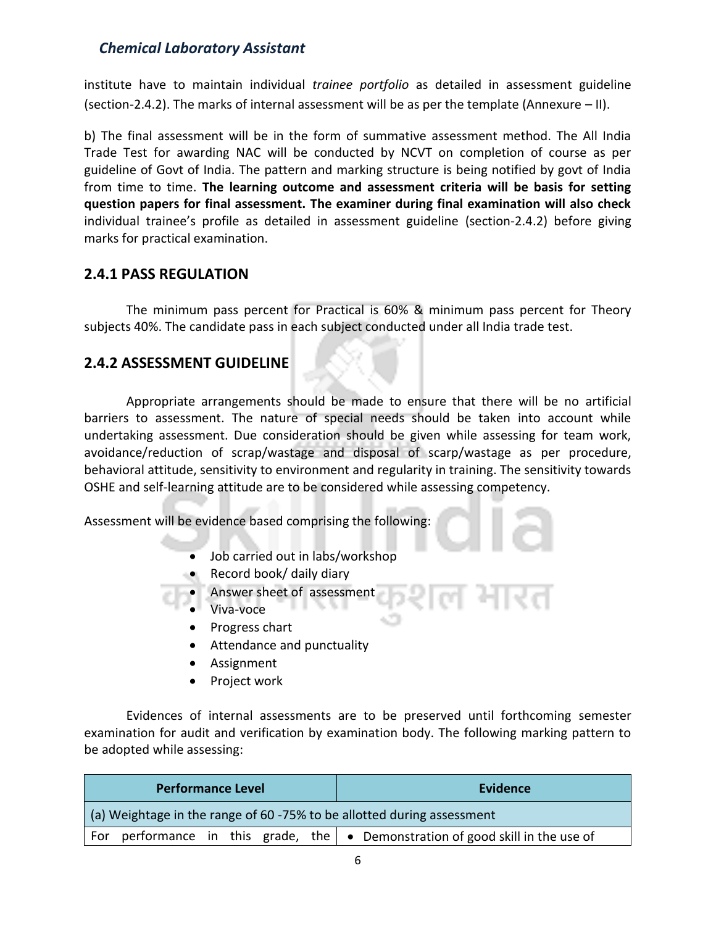institute have to maintain individual *trainee portfolio* as detailed in assessment guideline (section-2.4.2). The marks of internal assessment will be as per the template (Annexure – II).

b) The final assessment will be in the form of summative assessment method. The All India Trade Test for awarding NAC will be conducted by NCVT on completion of course as per guideline of Govt of India. The pattern and marking structure is being notified by govt of India from time to time. **The learning outcome and assessment criteria will be basis for setting question papers for final assessment. The examiner during final examination will also check**  individual trainee's profile as detailed in assessment guideline (section-2.4.2) before giving marks for practical examination.

#### **2.4.1 PASS REGULATION**

The minimum pass percent for Practical is 60% & minimum pass percent for Theory subjects 40%. The candidate pass in each subject conducted under all India trade test.

#### **2.4.2 ASSESSMENT GUIDELINE**

Appropriate arrangements should be made to ensure that there will be no artificial barriers to assessment. The nature of special needs should be taken into account while undertaking assessment. Due consideration should be given while assessing for team work, avoidance/reduction of scrap/wastage and disposal of scarp/wastage as per procedure, behavioral attitude, sensitivity to environment and regularity in training. The sensitivity towards OSHE and self-learning attitude are to be considered while assessing competency.

Assessment will be evidence based comprising the following:

- Job carried out in labs/workshop
- Record book/ daily diary
- Answer sheet of assessment
- Viva-voce
- Progress chart
- Attendance and punctuality
- Assignment
- Project work

Evidences of internal assessments are to be preserved until forthcoming semester examination for audit and verification by examination body. The following marking pattern to be adopted while assessing:

| <b>Performance Level</b>                                               | Evidence                                                                           |
|------------------------------------------------------------------------|------------------------------------------------------------------------------------|
| (a) Weightage in the range of 60 -75% to be allotted during assessment |                                                                                    |
| For                                                                    | performance in this grade, the $\bullet$ Demonstration of good skill in the use of |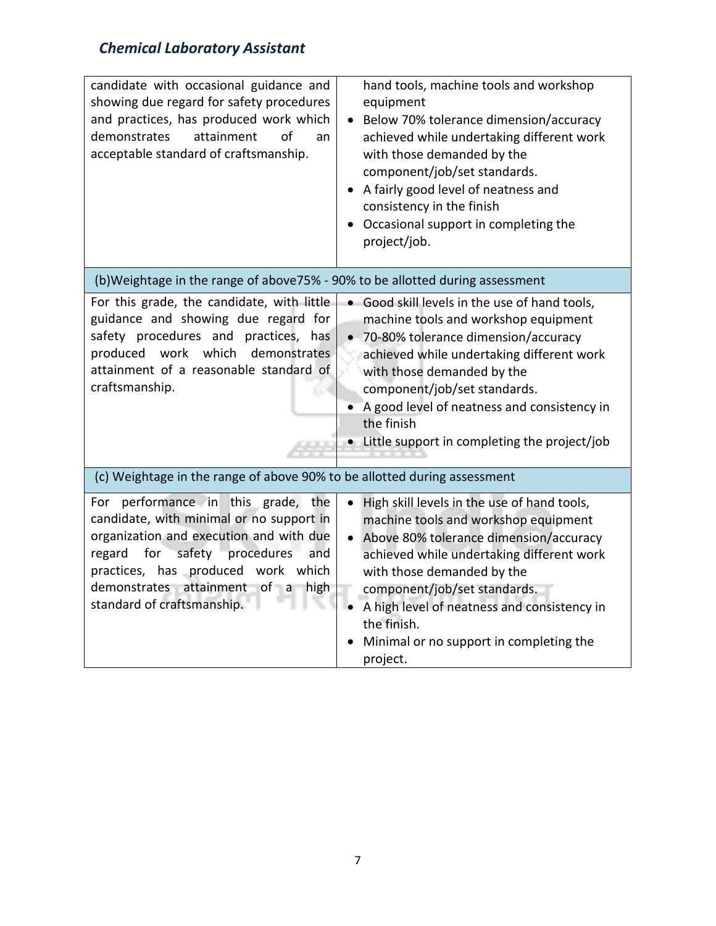| candidate with occasional guidance and<br>showing due regard for safety procedures<br>and practices, has produced work which<br>demonstrates<br>attainment<br>of<br>an<br>acceptable standard of craftsmanship.                                                                    | hand tools, machine tools and workshop<br>equipment<br>Below 70% tolerance dimension/accuracy<br>achieved while undertaking different work<br>with those demanded by the<br>component/job/set standards.<br>• A fairly good level of neatness and<br>consistency in the finish<br>Occasional support in completing the<br>project/job.                                                  |
|------------------------------------------------------------------------------------------------------------------------------------------------------------------------------------------------------------------------------------------------------------------------------------|-----------------------------------------------------------------------------------------------------------------------------------------------------------------------------------------------------------------------------------------------------------------------------------------------------------------------------------------------------------------------------------------|
| (b) Weightage in the range of above 75% - 90% to be allotted during assessment                                                                                                                                                                                                     |                                                                                                                                                                                                                                                                                                                                                                                         |
| For this grade, the candidate, with little<br>guidance and showing due regard for<br>safety procedures and practices, has<br>produced work which demonstrates<br>attainment of a reasonable standard of<br>craftsmanship.                                                          | Good skill levels in the use of hand tools,<br>machine tools and workshop equipment<br>• 70-80% tolerance dimension/accuracy<br>achieved while undertaking different work<br>with those demanded by the<br>component/job/set standards.<br>A good level of neatness and consistency in<br>the finish<br>• Little support in completing the project/job                                  |
| (c) Weightage in the range of above 90% to be allotted during assessment                                                                                                                                                                                                           |                                                                                                                                                                                                                                                                                                                                                                                         |
| For performance in this grade, the<br>candidate, with minimal or no support in<br>organization and execution and with due<br>safety procedures<br>regard<br>for<br>and<br>practices, has produced work which<br>demonstrates attainment of a<br>high<br>standard of craftsmanship. | High skill levels in the use of hand tools,<br>$\bullet$<br>machine tools and workshop equipment<br>Above 80% tolerance dimension/accuracy<br>$\bullet$<br>achieved while undertaking different work<br>with those demanded by the<br>component/job/set standards.<br>A high level of neatness and consistency in<br>the finish.<br>Minimal or no support in completing the<br>project. |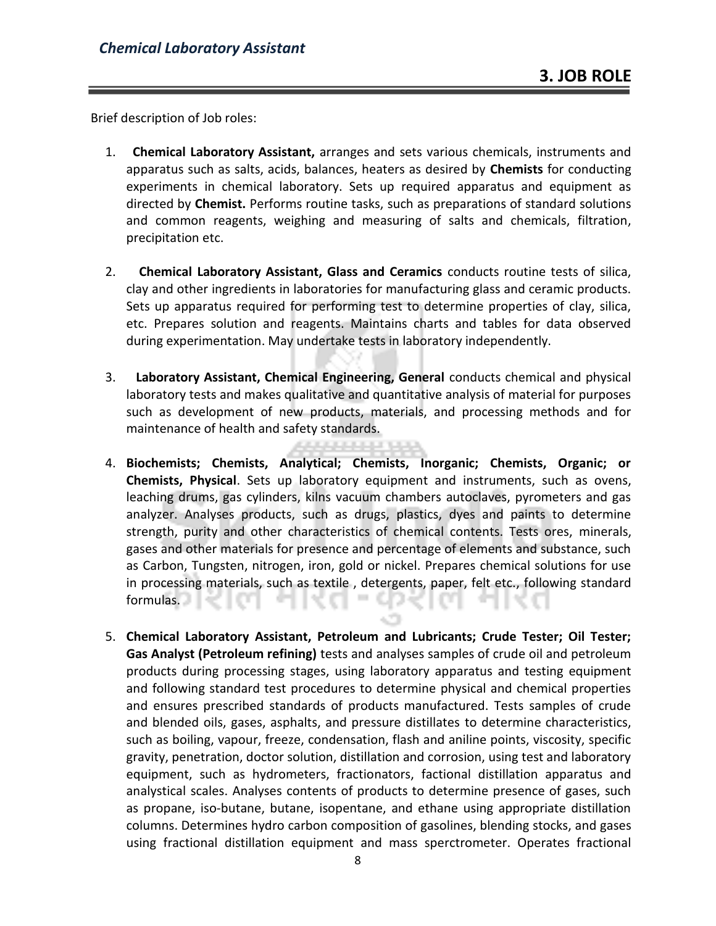Brief description of Job roles:

- 1. **Chemical Laboratory Assistant,** arranges and sets various chemicals, instruments and apparatus such as salts, acids, balances, heaters as desired by **Chemists** for conducting experiments in chemical laboratory. Sets up required apparatus and equipment as directed by **Chemist.** Performs routine tasks, such as preparations of standard solutions and common reagents, weighing and measuring of salts and chemicals, filtration, precipitation etc.
- 2. **Chemical Laboratory Assistant, Glass and Ceramics** conducts routine tests of silica, clay and other ingredients in laboratories for manufacturing glass and ceramic products. Sets up apparatus required for performing test to determine properties of clay, silica, etc. Prepares solution and reagents. Maintains charts and tables for data observed during experimentation. May undertake tests in laboratory independently.
- 3. **Laboratory Assistant, Chemical Engineering, General** conducts chemical and physical laboratory tests and makes qualitative and quantitative analysis of material for purposes such as development of new products, materials, and processing methods and for maintenance of health and safety standards.
- 4. **Biochemists; Chemists, Analytical; Chemists, Inorganic; Chemists, Organic; or Chemists, Physical**. Sets up laboratory equipment and instruments, such as ovens, leaching drums, gas cylinders, kilns vacuum chambers autoclaves, pyrometers and gas analyzer. Analyses products, such as drugs, plastics, dyes and paints to determine strength, purity and other characteristics of chemical contents. Tests ores, minerals, gases and other materials for presence and percentage of elements and substance, such as Carbon, Tungsten, nitrogen, iron, gold or nickel. Prepares chemical solutions for use in processing materials, such as textile , detergents, paper, felt etc., following standard formulas.
- 5. **Chemical Laboratory Assistant, Petroleum and Lubricants; Crude Tester; Oil Tester; Gas Analyst (Petroleum refining)** tests and analyses samples of crude oil and petroleum products during processing stages, using laboratory apparatus and testing equipment and following standard test procedures to determine physical and chemical properties and ensures prescribed standards of products manufactured. Tests samples of crude and blended oils, gases, asphalts, and pressure distillates to determine characteristics, such as boiling, vapour, freeze, condensation, flash and aniline points, viscosity, specific gravity, penetration, doctor solution, distillation and corrosion, using test and laboratory equipment, such as hydrometers, fractionators, factional distillation apparatus and analystical scales. Analyses contents of products to determine presence of gases, such as propane, iso-butane, butane, isopentane, and ethane using appropriate distillation columns. Determines hydro carbon composition of gasolines, blending stocks, and gases using fractional distillation equipment and mass sperctrometer. Operates fractional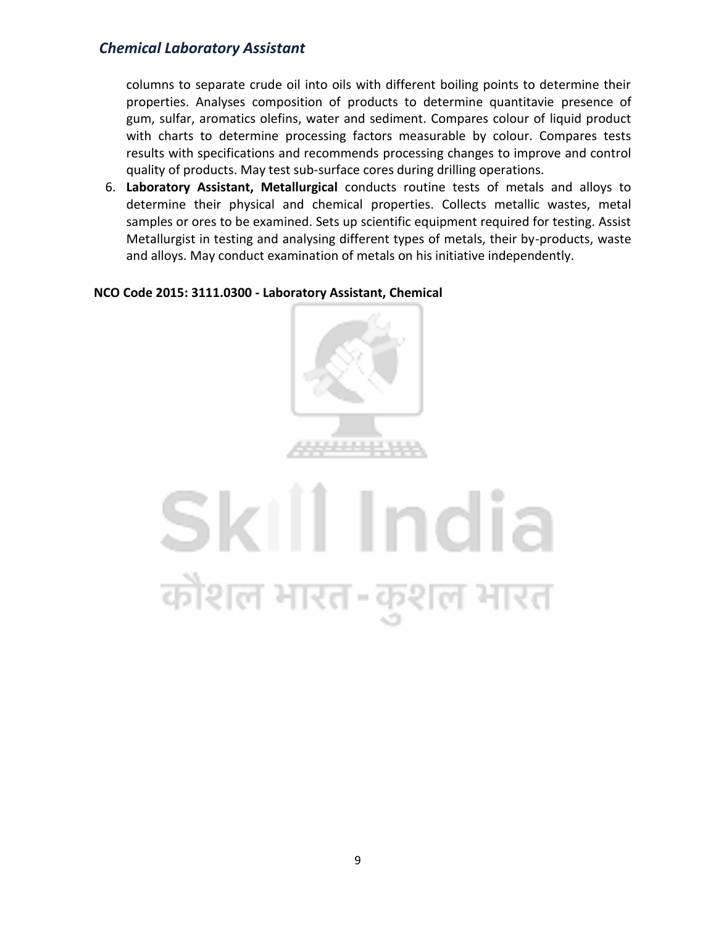columns to separate crude oil into oils with different boiling points to determine their properties. Analyses composition of products to determine quantitavie presence of gum, sulfar, aromatics olefins, water and sediment. Compares colour of liquid product with charts to determine processing factors measurable by colour. Compares tests results with specifications and recommends processing changes to improve and control quality of products. May test sub-surface cores during drilling operations.

6. **Laboratory Assistant, Metallurgical** conducts routine tests of metals and alloys to determine their physical and chemical properties. Collects metallic wastes, metal samples or ores to be examined. Sets up scientific equipment required for testing. Assist Metallurgist in testing and analysing different types of metals, their by-products, waste and alloys. May conduct examination of metals on his initiative independently.

#### **NCO Code 2015: 3111.0300 - Laboratory Assistant, Chemical**



## Skill India कौशल भारत-कुशल भारत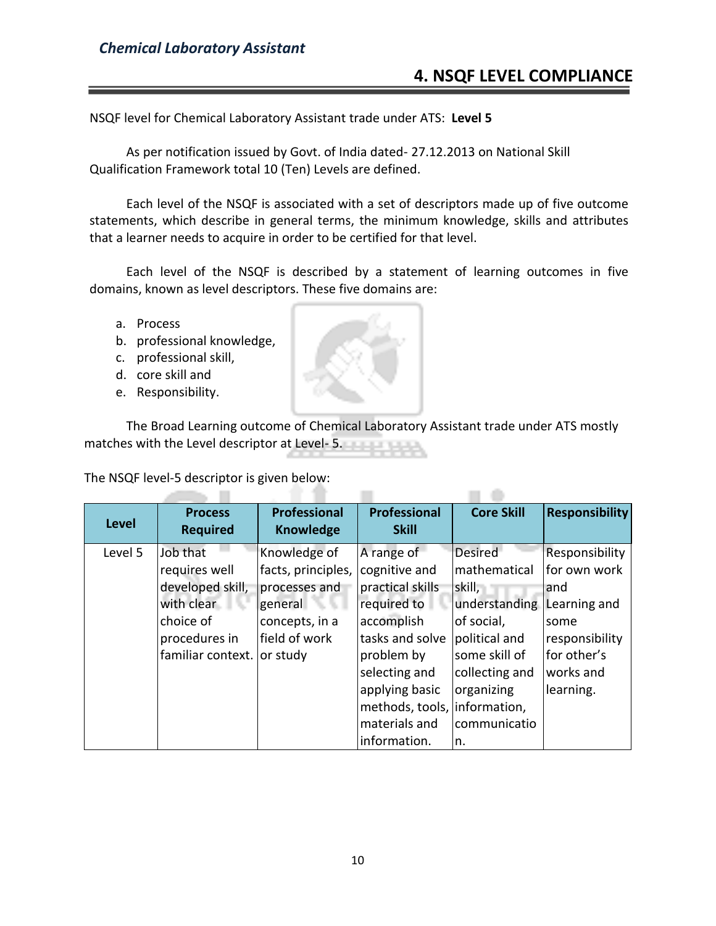NSQF level for Chemical Laboratory Assistant trade under ATS: **Level 5**

As per notification issued by Govt. of India dated- 27.12.2013 on National Skill Qualification Framework total 10 (Ten) Levels are defined.

Each level of the NSQF is associated with a set of descriptors made up of five outcome statements, which describe in general terms, the minimum knowledge, skills and attributes that a learner needs to acquire in order to be certified for that level.

Each level of the NSQF is described by a statement of learning outcomes in five domains, known as level descriptors. These five domains are:

- a. Process
- b. professional knowledge,
- c. professional skill,
- d. core skill and
- e. Responsibility.

The Broad Learning outcome of Chemical Laboratory Assistant trade under ATS mostly matches with the Level descriptor at Level- 5.

 $\mathcal{L}(\mathcal{C})$ 

一曲

The NSQF level-5 descriptor is given below: **All Track of the** 

| <b>Level</b> | <b>Process</b><br><b>Required</b>                                                                              | <b>Professional</b><br><b>Knowledge</b>                                                                       | <b>Professional</b><br><b>Skill</b>                                                                                                                                                                               | <b>Core Skill</b>                                                                                                                                               | <b>Responsibility</b>                                                                                                     |
|--------------|----------------------------------------------------------------------------------------------------------------|---------------------------------------------------------------------------------------------------------------|-------------------------------------------------------------------------------------------------------------------------------------------------------------------------------------------------------------------|-----------------------------------------------------------------------------------------------------------------------------------------------------------------|---------------------------------------------------------------------------------------------------------------------------|
| Level 5      | Job that<br>requires well<br>developed skill,<br>with clear<br>choice of<br>procedures in<br>familiar context. | Knowledge of<br>facts, principles,<br>processes and<br>general<br>concepts, in a<br>field of work<br>or study | A range of<br>cognitive and<br>practical skills<br>required to<br>accomplish<br>tasks and solve<br>problem by<br>selecting and<br>applying basic<br>methods, tools, information,<br>materials and<br>information. | <b>Desired</b><br>mathematical<br>skill,<br>understanding<br>of social,<br>political and<br>some skill of<br>collecting and<br>organizing<br>communicatio<br>n. | Responsibility<br>for own work<br>and<br>Learning and<br>some<br>responsibility<br>lfor other's<br>works and<br>learning. |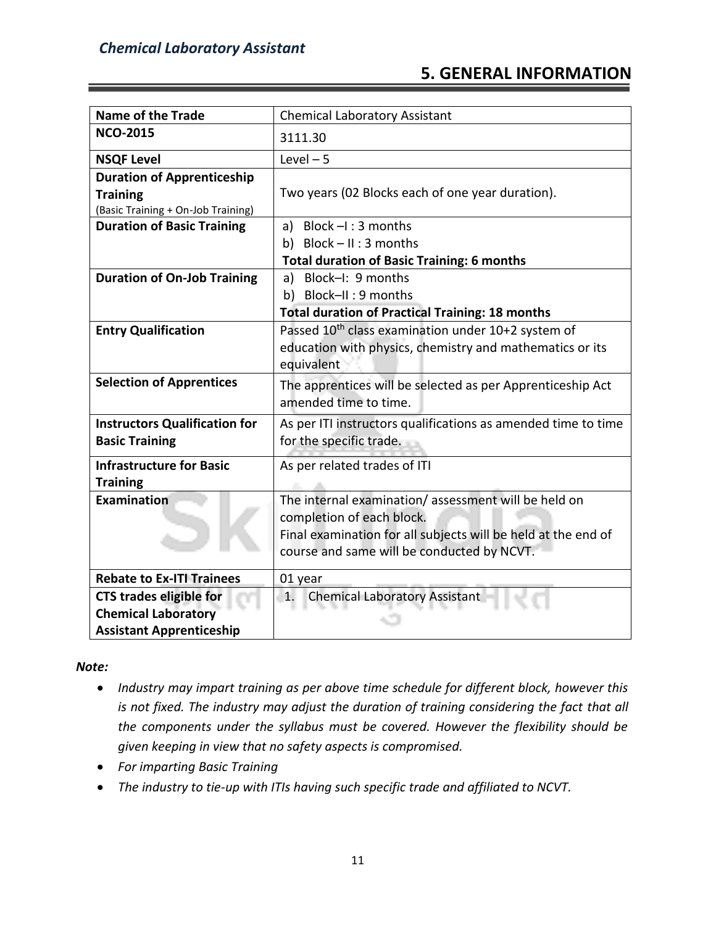#### **5. GENERAL INFORMATION**

| <b>Name of the Trade</b>             | <b>Chemical Laboratory Assistant</b>                           |
|--------------------------------------|----------------------------------------------------------------|
| <b>NCO-2015</b>                      | 3111.30                                                        |
| <b>NSQF Level</b>                    | Level $-5$                                                     |
| <b>Duration of Apprenticeship</b>    |                                                                |
| <b>Training</b>                      | Two years (02 Blocks each of one year duration).               |
| (Basic Training + On-Job Training)   |                                                                |
| <b>Duration of Basic Training</b>    | Block $-I$ : 3 months<br>a)                                    |
|                                      | b) Block $- II : 3$ months                                     |
|                                      | <b>Total duration of Basic Training: 6 months</b>              |
| <b>Duration of On-Job Training</b>   | a) Block-I: 9 months                                           |
|                                      | b) Block-II: 9 months                                          |
|                                      | <b>Total duration of Practical Training: 18 months</b>         |
| <b>Entry Qualification</b>           | Passed 10 <sup>th</sup> class examination under 10+2 system of |
|                                      | education with physics, chemistry and mathematics or its       |
|                                      | equivalent                                                     |
| <b>Selection of Apprentices</b>      | The apprentices will be selected as per Apprenticeship Act     |
|                                      | amended time to time.                                          |
| <b>Instructors Qualification for</b> | As per ITI instructors qualifications as amended time to time  |
| <b>Basic Training</b>                | for the specific trade.                                        |
| <b>Infrastructure for Basic</b>      | As per related trades of ITI                                   |
| <b>Training</b>                      |                                                                |
| Examination                          | The internal examination/assessment will be held on            |
|                                      | completion of each block.                                      |
|                                      | Final examination for all subjects will be held at the end of  |
|                                      | course and same will be conducted by NCVT.                     |
| <b>Rebate to Ex-ITI Trainees</b>     | 01 year                                                        |
| <b>CTS trades eligible for</b>       | <b>Chemical Laboratory Assistant</b><br>1.                     |
| <b>Chemical Laboratory</b>           |                                                                |
| <b>Assistant Apprenticeship</b>      |                                                                |

#### *Note:*

- *Industry may impart training as per above time schedule for different block, however this is not fixed. The industry may adjust the duration of training considering the fact that all the components under the syllabus must be covered. However the flexibility should be given keeping in view that no safety aspects is compromised.*
- *For imparting Basic Training*
- *The industry to tie-up with ITIs having such specific trade and affiliated to NCVT.*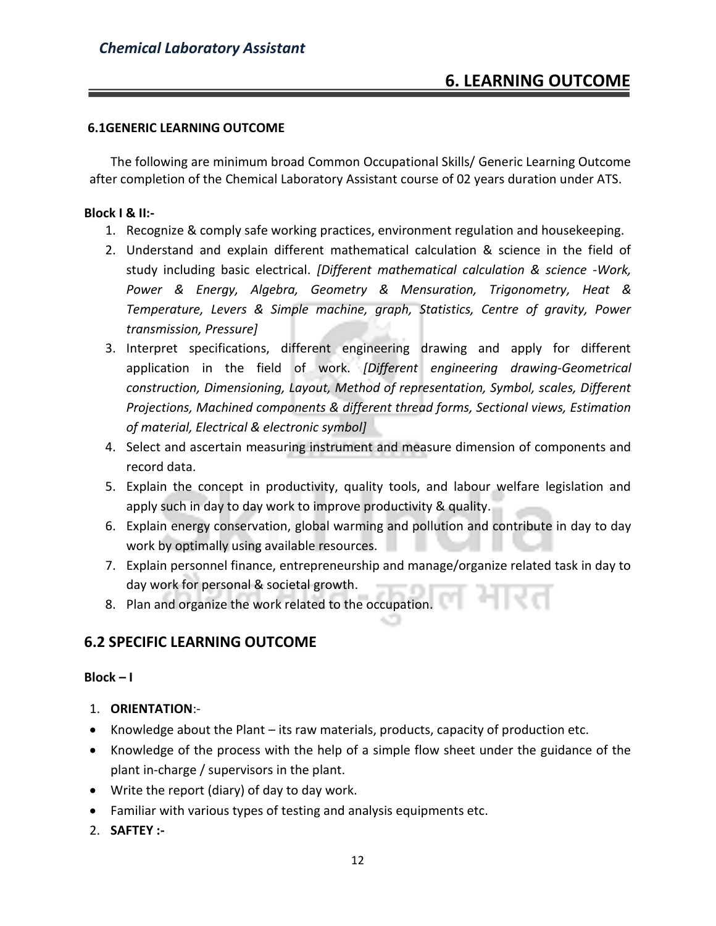#### **6.1GENERIC LEARNING OUTCOME**

The following are minimum broad Common Occupational Skills/ Generic Learning Outcome after completion of the Chemical Laboratory Assistant course of 02 years duration under ATS.

#### **Block I & II:-**

- 1. Recognize & comply safe working practices, environment regulation and housekeeping.
- 2. Understand and explain different mathematical calculation & science in the field of study including basic electrical. *[Different mathematical calculation & science -Work, Power & Energy, Algebra, Geometry & Mensuration, Trigonometry, Heat & Temperature, Levers & Simple machine, graph, Statistics, Centre of gravity, Power transmission, Pressure]*
- 3. Interpret specifications, different engineering drawing and apply for different application in the field of work. *[Different engineering drawing-Geometrical construction, Dimensioning, Layout, Method of representation, Symbol, scales, Different Projections, Machined components & different thread forms, Sectional views, Estimation of material, Electrical & electronic symbol]*
- 4. Select and ascertain measuring instrument and measure dimension of components and record data.
- 5. Explain the concept in productivity, quality tools, and labour welfare legislation and apply such in day to day work to improve productivity & quality.
- 6. Explain energy conservation, global warming and pollution and contribute in day to day work by optimally using available resources.
- 7. Explain personnel finance, entrepreneurship and manage/organize related task in day to day work for personal & societal growth.
- 8. Plan and organize the work related to the occupation.

#### **6.2 SPECIFIC LEARNING OUTCOME**

#### $Block - I$

- 1. **ORIENTATION**:-
- Knowledge about the Plant its raw materials, products, capacity of production etc.
- Knowledge of the process with the help of a simple flow sheet under the guidance of the plant in-charge / supervisors in the plant.
- Write the report (diary) of day to day work.
- Familiar with various types of testing and analysis equipments etc.
- 2. **SAFTEY :-**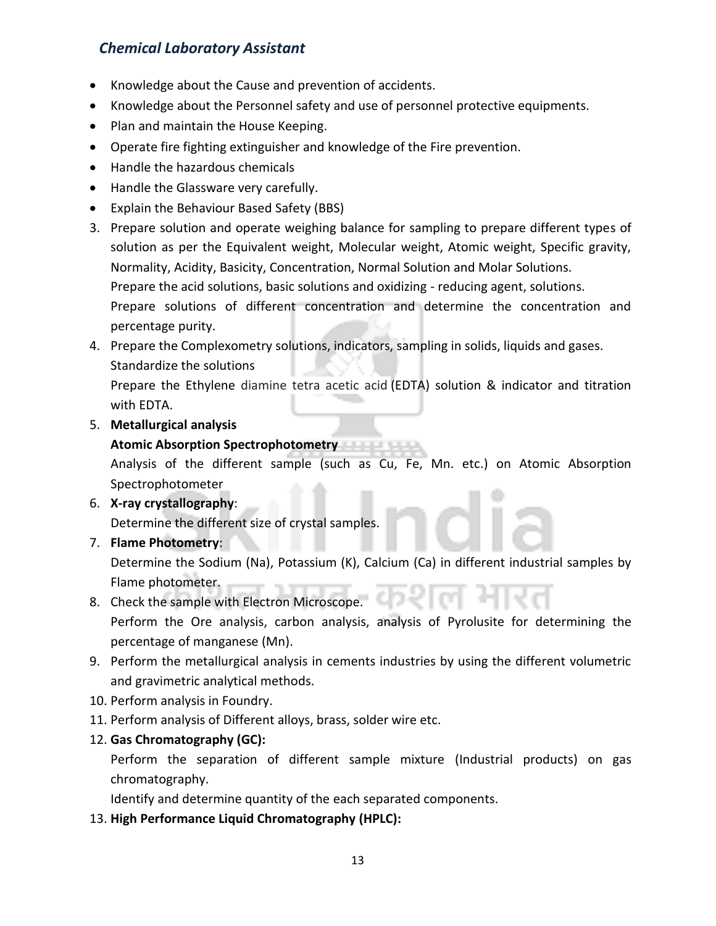- Knowledge about the Cause and prevention of accidents.
- Knowledge about the Personnel safety and use of personnel protective equipments.
- Plan and maintain the House Keeping.
- Operate fire fighting extinguisher and knowledge of the Fire prevention.
- Handle the hazardous chemicals
- Handle the Glassware very carefully.
- Explain the Behaviour Based Safety (BBS)
- 3. Prepare solution and operate weighing balance for sampling to prepare different types of solution as per the Equivalent weight, Molecular weight, Atomic weight, Specific gravity, Normality, Acidity, Basicity, Concentration, Normal Solution and Molar Solutions. Prepare the acid solutions, basic solutions and oxidizing - reducing agent, solutions. Prepare solutions of different concentration and determine the concentration and percentage purity.
- 4. Prepare the Complexometry solutions, indicators, sampling in solids, liquids and gases. Standardize the solutions

Prepare the Ethylene diamine tetra acetic acid (EDTA) solution & indicator and titration with EDTA.

- 5. **Metallurgical analysis**
	- **Atomic Absorption Spectrophotometry**

Analysis of the different sample (such as Cu, Fe, Mn. etc.) on Atomic Absorption Spectrophotometer

6. **X-ray crystallography**:

Determine the different size of crystal samples.

7. **Flame Photometry**:

Determine the Sodium (Na), Potassium (K), Calcium (Ca) in different industrial samples by Flame photometer.

- 8. Check the sample with Electron Microscope. Perform the Ore analysis, carbon analysis, analysis of Pyrolusite for determining the percentage of manganese (Mn).
- 9. Perform the metallurgical analysis in cements industries by using the different volumetric and gravimetric analytical methods.
- 10. Perform analysis in Foundry.
- 11. Perform analysis of Different alloys, brass, solder wire etc.
- 12. **Gas Chromatography (GC):**

Perform the separation of different sample mixture (Industrial products) on gas chromatography.

Identify and determine quantity of the each separated components.

13. **High Performance Liquid Chromatography (HPLC):**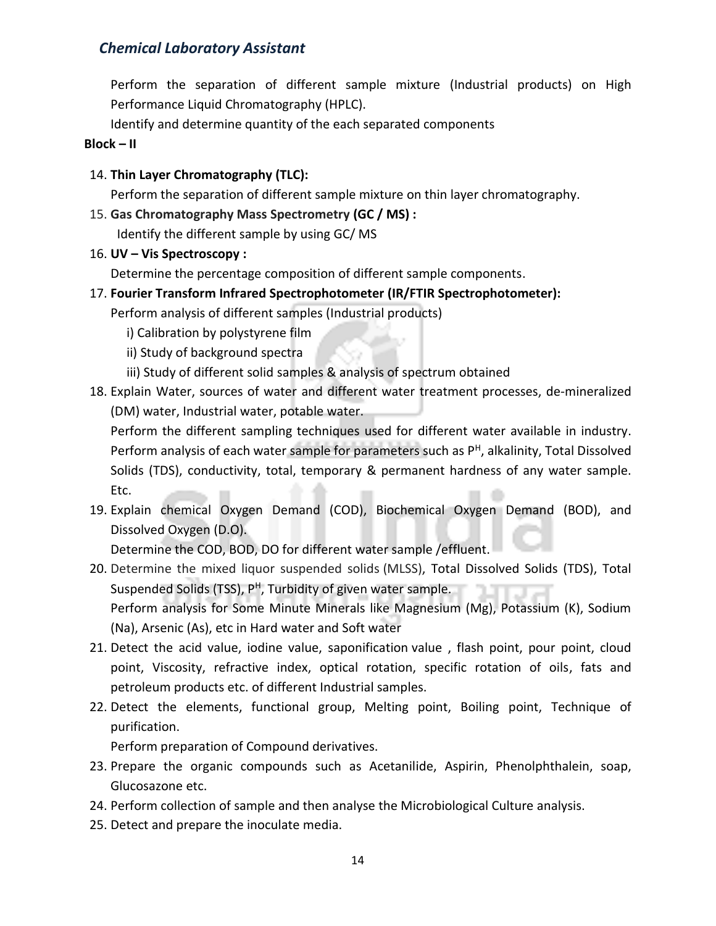Perform the separation of different sample mixture (Industrial products) on High Performance Liquid Chromatography (HPLC).

Identify and determine quantity of the each separated components

**Block – II** 

14. **Thin Layer Chromatography (TLC):** 

Perform the separation of different sample mixture on thin layer chromatography.

15. **Gas Chromatography Mass Spectrometry (GC / MS) :** 

Identify the different sample by using GC/ MS

16. **UV – Vis Spectroscopy :** 

Determine the percentage composition of different sample components.

17. **Fourier Transform Infrared Spectrophotometer (IR/FTIR Spectrophotometer):**

Perform analysis of different samples (Industrial products)

- i) Calibration by polystyrene film
- ii) Study of background spectra
- iii) Study of different solid samples & analysis of spectrum obtained
- 18. Explain Water, sources of water and different water treatment processes, de-mineralized (DM) water, Industrial water, potable water.

Perform the different sampling techniques used for different water available in industry. Perform analysis of each water sample for parameters such as P<sup>H</sup>, alkalinity, Total Dissolved Solids (TDS), conductivity, total, temporary & permanent hardness of any water sample. Etc.

19. Explain chemical Oxygen Demand (COD), Biochemical Oxygen Demand (BOD), and Dissolved Oxygen (D.O).

Determine the COD, BOD, DO for different water sample /effluent.

- 20. Determine the mixed liquor suspended solids (MLSS), Total Dissolved Solids (TDS), Total Suspended Solids (TSS), P<sup>H</sup>, Turbidity of given water sample. Perform analysis for Some Minute Minerals like Magnesium (Mg), Potassium (K), Sodium (Na), Arsenic (As), etc in Hard water and Soft water
- 21. Detect the acid value, iodine value, saponification value , flash point, pour point, cloud point, Viscosity, refractive index, optical rotation, specific rotation of oils, fats and petroleum products etc. of different Industrial samples.
- 22. Detect the elements, functional group, Melting point, Boiling point, Technique of purification.

Perform preparation of Compound derivatives.

- 23. Prepare the organic compounds such as Acetanilide, Aspirin, Phenolphthalein, soap, Glucosazone etc.
- 24. Perform collection of sample and then analyse the Microbiological Culture analysis.
- 25. Detect and prepare the inoculate media.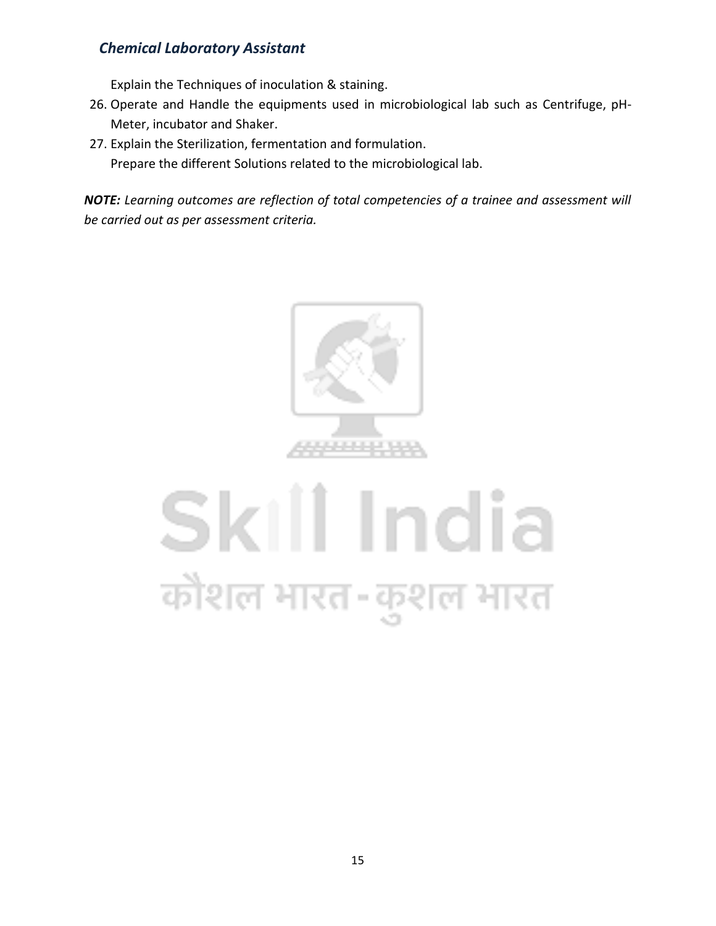Explain the Techniques of inoculation & staining.

- 26. Operate and Handle the equipments used in microbiological lab such as Centrifuge, pH-Meter, incubator and Shaker.
- 27. Explain the Sterilization, fermentation and formulation. Prepare the different Solutions related to the microbiological lab.

*NOTE: Learning outcomes are reflection of total competencies of a trainee and assessment will be carried out as per assessment criteria.*



## Skill India कौशल भारत-कुशल भारत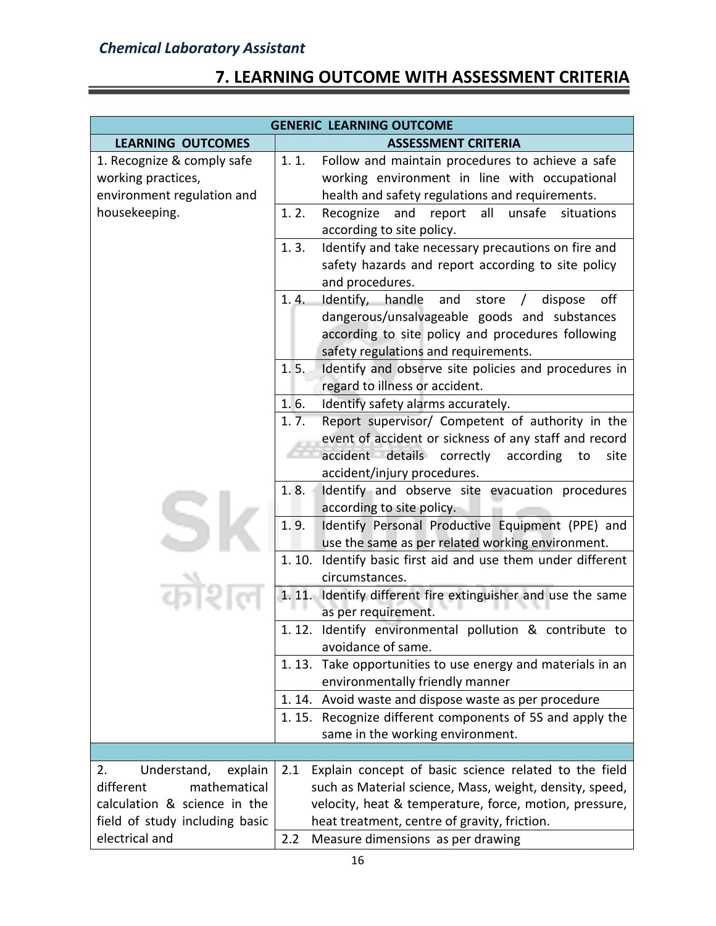#### **7. LEARNING OUTCOME WITH ASSESSMENT CRITERIA**

| <b>GENERIC LEARNING OUTCOME</b>                                                |                                                                                                                                                                                                                     |  |
|--------------------------------------------------------------------------------|---------------------------------------------------------------------------------------------------------------------------------------------------------------------------------------------------------------------|--|
| <b>LEARNING OUTCOMES</b>                                                       | <b>ASSESSMENT CRITERIA</b>                                                                                                                                                                                          |  |
| 1. Recognize & comply safe<br>working practices,<br>environment regulation and | 1.1.<br>Follow and maintain procedures to achieve a safe<br>working environment in line with occupational<br>health and safety regulations and requirements.                                                        |  |
| housekeeping.                                                                  | 1.2.<br>and<br>all<br>unsafe<br>situations<br>Recognize<br>report<br>according to site policy.                                                                                                                      |  |
|                                                                                | 1.3.<br>Identify and take necessary precautions on fire and<br>safety hazards and report according to site policy<br>and procedures.                                                                                |  |
|                                                                                | Identify, handle<br>and<br>1.4.<br>store<br>dispose<br>off<br>$\prime$<br>dangerous/unsalvageable goods and substances<br>according to site policy and procedures following<br>safety regulations and requirements. |  |
|                                                                                | 1.5.<br>Identify and observe site policies and procedures in<br>regard to illness or accident.                                                                                                                      |  |
|                                                                                | 1.6.<br>Identify safety alarms accurately.                                                                                                                                                                          |  |
|                                                                                | 1.7.<br>Report supervisor/ Competent of authority in the<br>event of accident or sickness of any staff and record<br>accident details correctly according<br>to<br>site<br>accident/injury procedures.              |  |
|                                                                                | Identify and observe site evacuation procedures<br>1.8.<br>according to site policy.                                                                                                                                |  |
|                                                                                | 1.9.<br>Identify Personal Productive Equipment (PPE) and<br>use the same as per related working environment.                                                                                                        |  |
|                                                                                | Identify basic first aid and use them under different<br>1.10.<br>circumstances.                                                                                                                                    |  |
|                                                                                | 1.11.<br>Identify different fire extinguisher and use the same<br>as per requirement.                                                                                                                               |  |
|                                                                                | 1.12. Identify environmental pollution & contribute to<br>avoidance of same.                                                                                                                                        |  |
|                                                                                | 1.13. Take opportunities to use energy and materials in an<br>environmentally friendly manner                                                                                                                       |  |
|                                                                                | 1.14. Avoid waste and dispose waste as per procedure                                                                                                                                                                |  |
|                                                                                | Recognize different components of 5S and apply the<br>1. 15.<br>same in the working environment.                                                                                                                    |  |
|                                                                                |                                                                                                                                                                                                                     |  |
| 2.<br>Understand,<br>explain                                                   | Explain concept of basic science related to the field<br>2.1                                                                                                                                                        |  |
| different<br>mathematical                                                      | such as Material science, Mass, weight, density, speed,                                                                                                                                                             |  |
| calculation & science in the                                                   | velocity, heat & temperature, force, motion, pressure,                                                                                                                                                              |  |
| field of study including basic                                                 | heat treatment, centre of gravity, friction.                                                                                                                                                                        |  |
| electrical and                                                                 | Measure dimensions as per drawing<br>2.2                                                                                                                                                                            |  |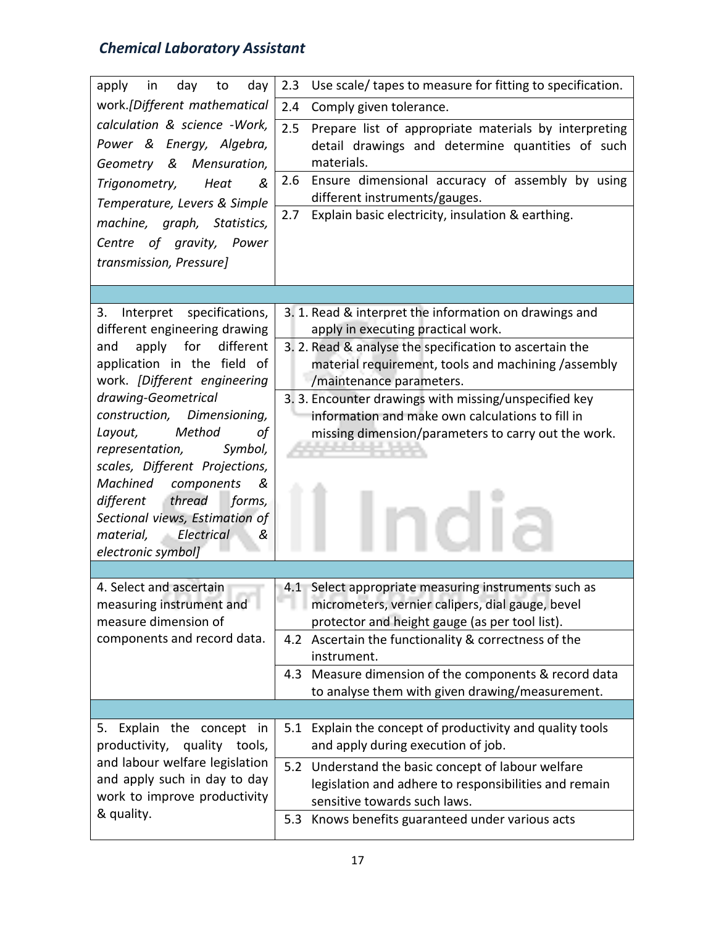| day<br>day<br>apply in<br>to                                                           | 2.3<br>Use scale/ tapes to measure for fitting to specification.                                                               |
|----------------------------------------------------------------------------------------|--------------------------------------------------------------------------------------------------------------------------------|
| work.[Different mathematical                                                           | 2.4<br>Comply given tolerance.                                                                                                 |
| calculation & science -Work,<br>Power & Energy, Algebra,<br>Geometry &<br>Mensuration, | 2.5<br>Prepare list of appropriate materials by interpreting<br>detail drawings and determine quantities of such<br>materials. |
| Trigonometry,<br>&<br>Heat                                                             | Ensure dimensional accuracy of assembly by using<br>2.6<br>different instruments/gauges.                                       |
| Temperature, Levers & Simple                                                           | Explain basic electricity, insulation & earthing.<br>2.7                                                                       |
| machine, graph, Statistics,<br>Centre of gravity, Power                                |                                                                                                                                |
| transmission, Pressure]                                                                |                                                                                                                                |
|                                                                                        |                                                                                                                                |
| specifications,<br>3.<br>Interpret                                                     | 3. 1. Read & interpret the information on drawings and                                                                         |
| different engineering drawing                                                          | apply in executing practical work.                                                                                             |
| different<br>apply<br>for<br>and                                                       | 3. 2. Read & analyse the specification to ascertain the                                                                        |
| application in the field of<br>work. [Different engineering                            | material requirement, tools and machining /assembly<br>/maintenance parameters.                                                |
| drawing-Geometrical                                                                    | 3. 3. Encounter drawings with missing/unspecified key                                                                          |
| construction, Dimensioning,                                                            | information and make own calculations to fill in                                                                               |
| Method<br>Layout,<br>οf                                                                | missing dimension/parameters to carry out the work.                                                                            |
| representation,<br>Symbol,                                                             |                                                                                                                                |
| scales, Different Projections,                                                         |                                                                                                                                |
| Machined<br>components<br>&<br>thread<br>different<br>forms,                           |                                                                                                                                |
| Sectional views, Estimation of                                                         |                                                                                                                                |
| Electrical<br>material,<br>$\sim 100$<br>&                                             |                                                                                                                                |
| electronic symbol]                                                                     |                                                                                                                                |
|                                                                                        |                                                                                                                                |
| 4. Select and ascertain                                                                | 4.1 Select appropriate measuring instruments such as                                                                           |
| measuring instrument and<br>measure dimension of                                       | micrometers, vernier calipers, dial gauge, bevel                                                                               |
| components and record data.                                                            | protector and height gauge (as per tool list).<br>4.2 Ascertain the functionality & correctness of the                         |
|                                                                                        | instrument.                                                                                                                    |
|                                                                                        | 4.3 Measure dimension of the components & record data                                                                          |
|                                                                                        | to analyse them with given drawing/measurement.                                                                                |
|                                                                                        |                                                                                                                                |
| Explain the concept in<br>5.<br>productivity, quality tools,                           | Explain the concept of productivity and quality tools<br>5.1<br>and apply during execution of job.                             |
| and labour welfare legislation                                                         | Understand the basic concept of labour welfare<br>5.2                                                                          |
| and apply such in day to day                                                           | legislation and adhere to responsibilities and remain                                                                          |
| work to improve productivity                                                           | sensitive towards such laws.                                                                                                   |
| & quality.                                                                             | Knows benefits guaranteed under various acts<br>5.3                                                                            |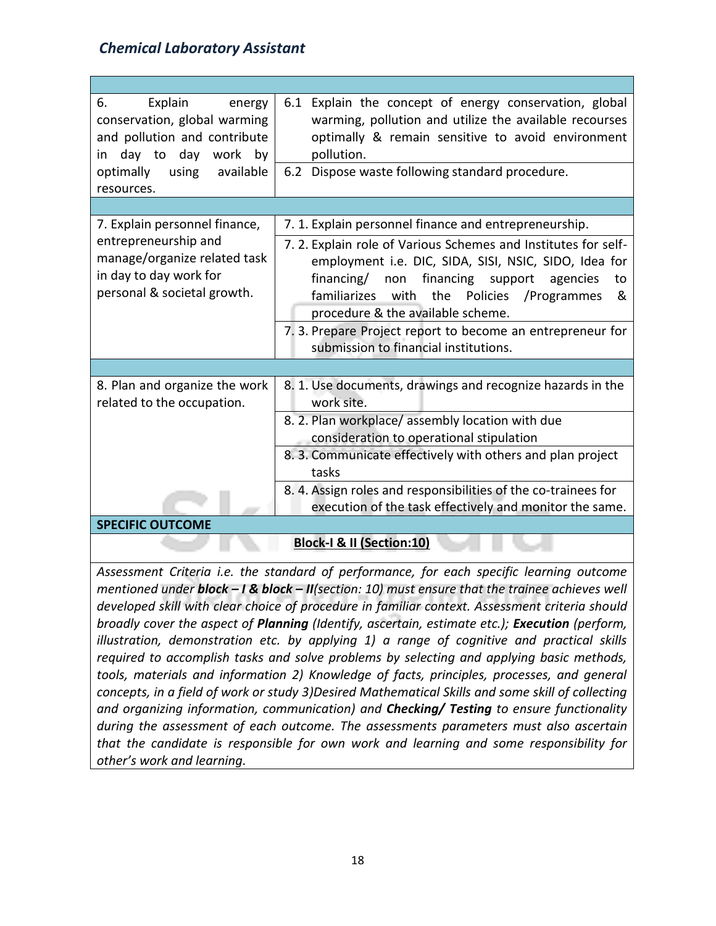| Explain<br>6.<br>energy<br>conservation, global warming<br>and pollution and contribute<br>in day to day work by<br>optimally<br>using<br>available<br>resources. | 6.1 Explain the concept of energy conservation, global<br>warming, pollution and utilize the available recourses<br>optimally & remain sensitive to avoid environment<br>pollution.<br>Dispose waste following standard procedure.<br>6.2                                                                                                    |
|-------------------------------------------------------------------------------------------------------------------------------------------------------------------|----------------------------------------------------------------------------------------------------------------------------------------------------------------------------------------------------------------------------------------------------------------------------------------------------------------------------------------------|
|                                                                                                                                                                   |                                                                                                                                                                                                                                                                                                                                              |
| 7. Explain personnel finance,                                                                                                                                     | 7. 1. Explain personnel finance and entrepreneurship.                                                                                                                                                                                                                                                                                        |
| entrepreneurship and<br>manage/organize related task<br>in day to day work for<br>personal & societal growth.                                                     | 7. 2. Explain role of Various Schemes and Institutes for self-<br>employment i.e. DIC, SIDA, SISI, NSIC, SIDO, Idea for<br>financing/ non financing support agencies<br>to<br>familiarizes<br>/Programmes<br>the<br>Policies<br>with<br>&<br>procedure & the available scheme.<br>7. 3. Prepare Project report to become an entrepreneur for |
|                                                                                                                                                                   | submission to financial institutions.                                                                                                                                                                                                                                                                                                        |
|                                                                                                                                                                   |                                                                                                                                                                                                                                                                                                                                              |
| 8. Plan and organize the work<br>related to the occupation.                                                                                                       | 8. 1. Use documents, drawings and recognize hazards in the<br>work site.                                                                                                                                                                                                                                                                     |
|                                                                                                                                                                   | 8. 2. Plan workplace/assembly location with due                                                                                                                                                                                                                                                                                              |
|                                                                                                                                                                   | consideration to operational stipulation                                                                                                                                                                                                                                                                                                     |
|                                                                                                                                                                   | 8. 3. Communicate effectively with others and plan project<br>tasks                                                                                                                                                                                                                                                                          |
|                                                                                                                                                                   | 8.4. Assign roles and responsibilities of the co-trainees for                                                                                                                                                                                                                                                                                |
|                                                                                                                                                                   | execution of the task effectively and monitor the same.                                                                                                                                                                                                                                                                                      |
| <b>SPECIFIC OUTCOME</b>                                                                                                                                           |                                                                                                                                                                                                                                                                                                                                              |
|                                                                                                                                                                   | Block-I & II (Section:10)                                                                                                                                                                                                                                                                                                                    |

*Assessment Criteria i.e. the standard of performance, for each specific learning outcome mentioned under block – I & block – II(section: 10) must ensure that the trainee achieves well developed skill with clear choice of procedure in familiar context. Assessment criteria should broadly cover the aspect of Planning (Identify, ascertain, estimate etc.); Execution (perform, illustration, demonstration etc. by applying 1) a range of cognitive and practical skills required to accomplish tasks and solve problems by selecting and applying basic methods, tools, materials and information 2) Knowledge of facts, principles, processes, and general concepts, in a field of work or study 3)Desired Mathematical Skills and some skill of collecting and organizing information, communication) and Checking/ Testing to ensure functionality during the assessment of each outcome. The assessments parameters must also ascertain that the candidate is responsible for own work and learning and some responsibility for other's work and learning.*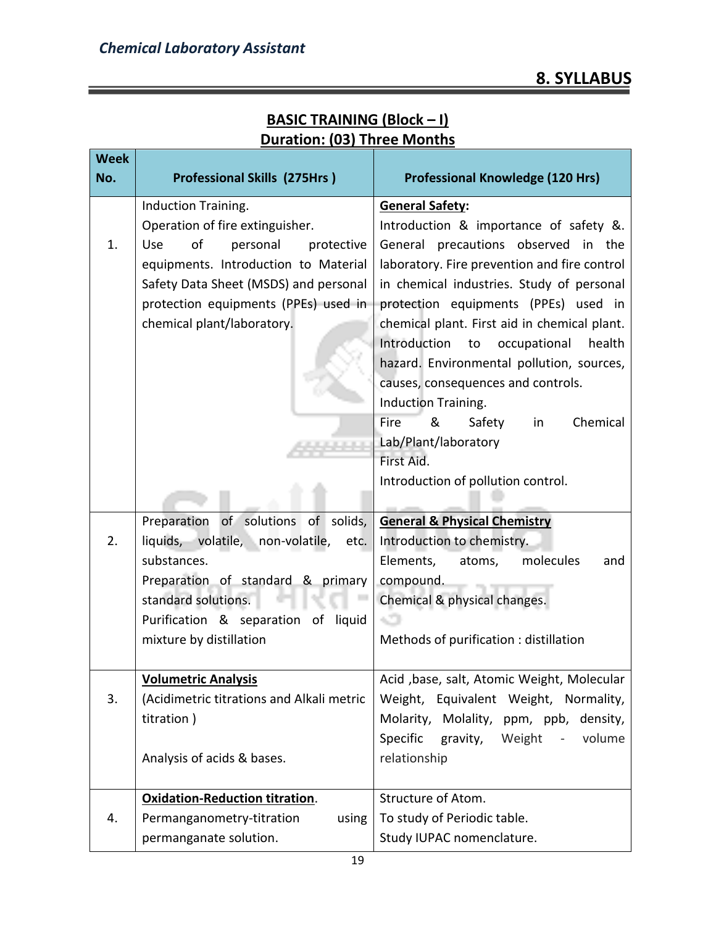|             | Duration: (03) Three Months                  |                                                      |
|-------------|----------------------------------------------|------------------------------------------------------|
| <b>Week</b> |                                              |                                                      |
| No.         | <b>Professional Skills (275Hrs)</b>          | <b>Professional Knowledge (120 Hrs)</b>              |
|             | Induction Training.                          | <b>General Safety:</b>                               |
|             | Operation of fire extinguisher.              | Introduction & importance of safety &.               |
| 1.          | of<br>personal<br><b>Use</b><br>protective   | General precautions observed in the                  |
|             | equipments. Introduction to Material         | laboratory. Fire prevention and fire control         |
|             | Safety Data Sheet (MSDS) and personal        | in chemical industries. Study of personal            |
|             | protection equipments (PPEs) used in         | protection equipments (PPEs) used in                 |
|             | chemical plant/laboratory.                   | chemical plant. First aid in chemical plant.         |
|             |                                              | Introduction<br>occupational<br>to<br>health         |
|             |                                              | hazard. Environmental pollution, sources,            |
|             |                                              | causes, consequences and controls.                   |
|             |                                              | Induction Training.                                  |
|             |                                              | Fire<br>&<br>Safety<br>Chemical<br>in                |
|             |                                              | Lab/Plant/laboratory<br>First Aid.                   |
|             |                                              | Introduction of pollution control.                   |
|             |                                              |                                                      |
|             | of<br>solutions of<br>Preparation<br>solids, | <b>General &amp; Physical Chemistry</b>              |
| 2.          | liquids, volatile, non-volatile,<br>etc.     | Introduction to chemistry.                           |
|             | substances.                                  | molecules<br>Elements,<br>atoms,<br>and              |
|             | Preparation of standard & primary            | compound.                                            |
|             | standard solutions.                          | Chemical & physical changes.                         |
|             | Purification & separation<br>of<br>liquid    | 4,711                                                |
|             | mixture by distillation                      | Methods of purification : distillation               |
|             |                                              |                                                      |
|             | <b>Volumetric Analysis</b>                   | Acid , base, salt, Atomic Weight, Molecular          |
| 3.          | (Acidimetric titrations and Alkali metric    | Weight, Equivalent Weight, Normality,                |
|             | titration)                                   | Molarity, Molality, ppm, ppb, density,               |
|             |                                              | Specific gravity, Weight<br>volume<br>$\blacksquare$ |
|             | Analysis of acids & bases.                   | relationship                                         |
|             |                                              |                                                      |
|             | <b>Oxidation-Reduction titration.</b>        | Structure of Atom.                                   |
| 4.          | Permanganometry-titration<br>using           | To study of Periodic table.                          |
|             | permanganate solution.                       | Study IUPAC nomenclature.                            |

#### **BASIC TRAINING (Block – I) Duration: (03) Three Months**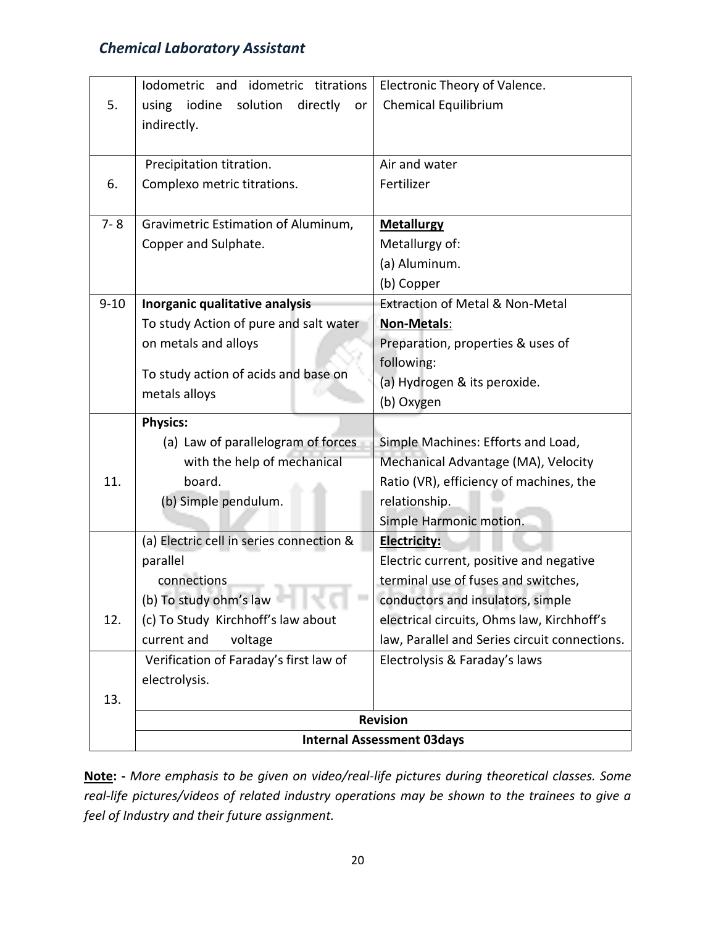|          | Iodometric and idometric titrations           | Electronic Theory of Valence.                 |
|----------|-----------------------------------------------|-----------------------------------------------|
| 5.       | solution<br>iodine<br>directly<br>using<br>or | <b>Chemical Equilibrium</b>                   |
|          | indirectly.                                   |                                               |
|          |                                               |                                               |
|          | Precipitation titration.                      | Air and water                                 |
| 6.       | Complexo metric titrations.                   | Fertilizer                                    |
|          |                                               |                                               |
| $7 - 8$  | Gravimetric Estimation of Aluminum,           | <b>Metallurgy</b>                             |
|          | Copper and Sulphate.                          | Metallurgy of:                                |
|          |                                               | (a) Aluminum.                                 |
|          |                                               | (b) Copper                                    |
| $9 - 10$ | Inorganic qualitative analysis                | <b>Extraction of Metal &amp; Non-Metal</b>    |
|          | To study Action of pure and salt water        | Non-Metals:                                   |
|          | on metals and alloys                          | Preparation, properties & uses of             |
|          | To study action of acids and base on          | following:                                    |
|          | metals alloys                                 | (a) Hydrogen & its peroxide.                  |
|          |                                               | (b) Oxygen                                    |
|          | <b>Physics:</b>                               |                                               |
|          | (a) Law of parallelogram of forces            | Simple Machines: Efforts and Load,            |
|          | with the help of mechanical                   | Mechanical Advantage (MA), Velocity           |
| 11.      | board.                                        | Ratio (VR), efficiency of machines, the       |
|          | (b) Simple pendulum.                          | relationship.                                 |
|          |                                               | Simple Harmonic motion.                       |
|          | (a) Electric cell in series connection &      | <b>Electricity:</b>                           |
|          | parallel                                      | Electric current, positive and negative       |
|          | connections                                   | terminal use of fuses and switches,           |
|          | (b) To study ohm's law                        | conductors and insulators, simple             |
| 12.      | (c) To Study Kirchhoff's law about            | electrical circuits, Ohms law, Kirchhoff's    |
|          | current and<br>voltage                        | law, Parallel and Series circuit connections. |
|          | Verification of Faraday's first law of        | Electrolysis & Faraday's laws                 |
|          | electrolysis.                                 |                                               |
| 13.      |                                               |                                               |
|          | <b>Revision</b>                               |                                               |
|          | <b>Internal Assessment 03days</b>             |                                               |

**Note: -** *More emphasis to be given on video/real-life pictures during theoretical classes. Some real-life pictures/videos of related industry operations may be shown to the trainees to give a feel of Industry and their future assignment.*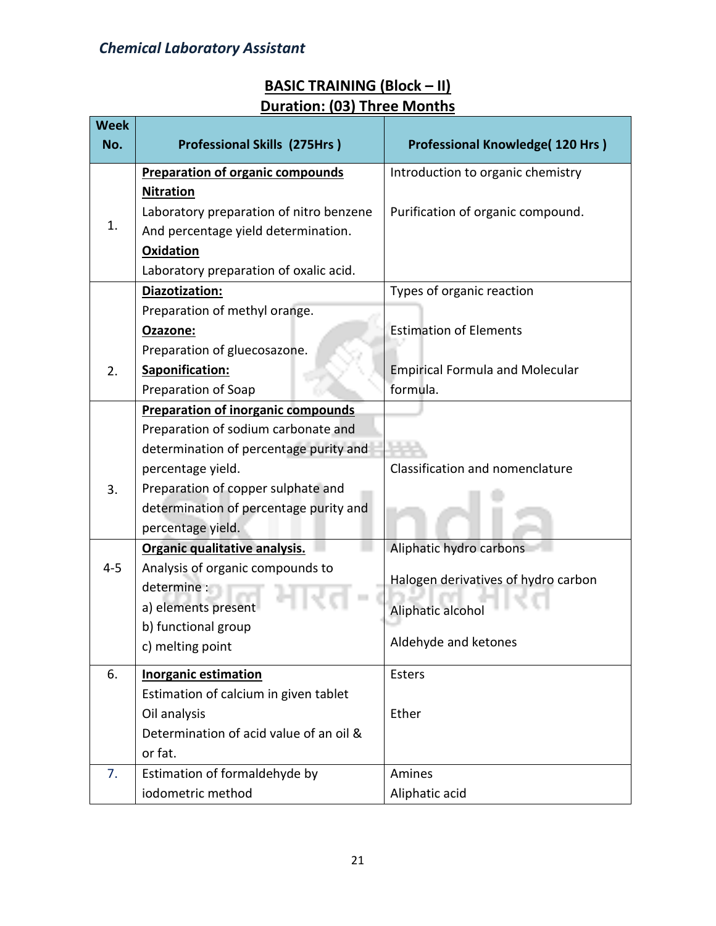| <b>Week</b><br>No. | <b>Professional Skills (275Hrs)</b>       | <b>Professional Knowledge(120 Hrs)</b> |
|--------------------|-------------------------------------------|----------------------------------------|
|                    | <b>Preparation of organic compounds</b>   | Introduction to organic chemistry      |
|                    | <b>Nitration</b>                          |                                        |
|                    | Laboratory preparation of nitro benzene   | Purification of organic compound.      |
| 1.                 | And percentage yield determination.       |                                        |
|                    | <b>Oxidation</b>                          |                                        |
|                    | Laboratory preparation of oxalic acid.    |                                        |
|                    | Diazotization:                            | Types of organic reaction              |
|                    | Preparation of methyl orange.             |                                        |
|                    | Ozazone:                                  | <b>Estimation of Elements</b>          |
|                    | Preparation of gluecosazone.              |                                        |
| 2.                 | Saponification:                           | <b>Empirical Formula and Molecular</b> |
|                    | Preparation of Soap                       | formula.                               |
|                    | <b>Preparation of inorganic compounds</b> |                                        |
|                    | Preparation of sodium carbonate and       |                                        |
|                    | determination of percentage purity and    |                                        |
|                    | percentage yield.                         | Classification and nomenclature        |
| 3.                 | Preparation of copper sulphate and        |                                        |
|                    | determination of percentage purity and    |                                        |
|                    | percentage yield.                         |                                        |
|                    | Organic qualitative analysis.             | Aliphatic hydro carbons                |
| $4 - 5$            | Analysis of organic compounds to          | Halogen derivatives of hydro carbon    |
|                    | determine :                               |                                        |
|                    | a) elements present                       | Aliphatic alcohol                      |
|                    | b) functional group                       | Aldehyde and ketones                   |
|                    | c) melting point                          |                                        |
| 6.                 | <b>Inorganic estimation</b>               | Esters                                 |
|                    | Estimation of calcium in given tablet     |                                        |
|                    | Oil analysis                              | Ether                                  |
|                    | Determination of acid value of an oil &   |                                        |
|                    | or fat.                                   |                                        |
| 7.                 | Estimation of formaldehyde by             | Amines                                 |
|                    | iodometric method                         | Aliphatic acid                         |

#### **BASIC TRAINING (Block – II) Duration: (03) Three Months**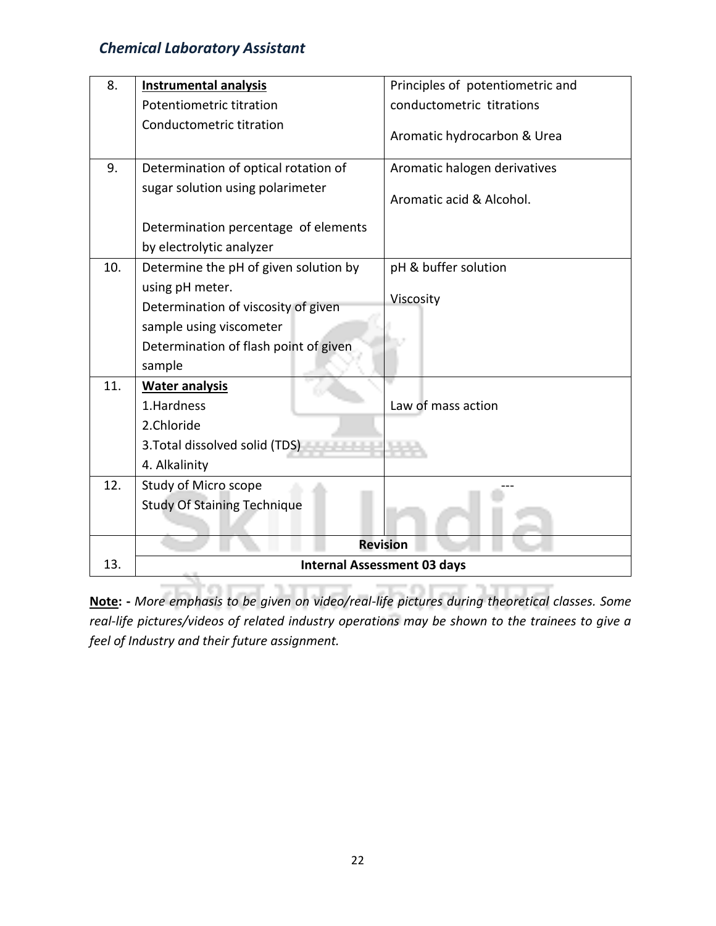| 8.  | <b>Instrumental analysis</b>          | Principles of potentiometric and |
|-----|---------------------------------------|----------------------------------|
|     | Potentiometric titration              | conductometric titrations        |
|     | Conductometric titration              | Aromatic hydrocarbon & Urea      |
| 9.  | Determination of optical rotation of  | Aromatic halogen derivatives     |
|     | sugar solution using polarimeter      | Aromatic acid & Alcohol.         |
|     | Determination percentage of elements  |                                  |
|     | by electrolytic analyzer              |                                  |
| 10. | Determine the pH of given solution by | pH & buffer solution             |
|     | using pH meter.                       |                                  |
|     | Determination of viscosity of given   | Viscosity                        |
|     | sample using viscometer               |                                  |
|     | Determination of flash point of given |                                  |
|     | sample                                |                                  |
| 11. | <b>Water analysis</b>                 |                                  |
|     | 1.Hardness                            | Law of mass action               |
|     | 2.Chloride                            |                                  |
|     | 3. Total dissolved solid (TDS)        |                                  |
|     | 4. Alkalinity                         |                                  |
| 12. | Study of Micro scope                  |                                  |
|     | <b>Study Of Staining Technique</b>    |                                  |
|     |                                       |                                  |
|     | <b>Revision</b>                       |                                  |
| 13. | <b>Internal Assessment 03 days</b>    |                                  |

**Note: -** *More emphasis to be given on video/real-life pictures during theoretical classes. Some real-life pictures/videos of related industry operations may be shown to the trainees to give a feel of Industry and their future assignment.*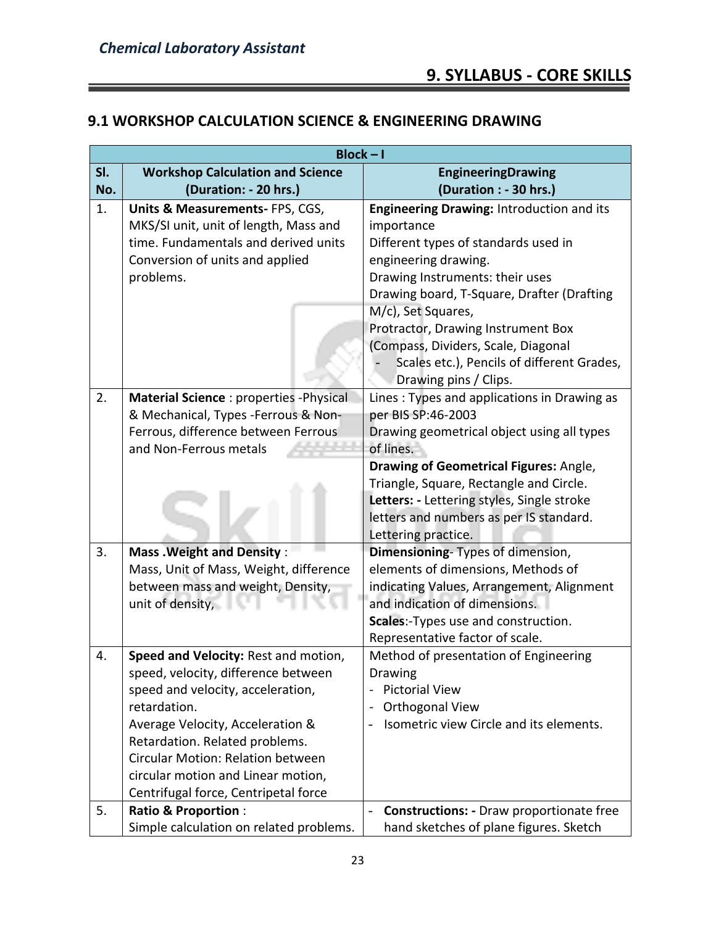#### **9.1 WORKSHOP CALCULATION SCIENCE & ENGINEERING DRAWING**

|     | $Block - I$                                                                 |                                                                                                 |  |
|-----|-----------------------------------------------------------------------------|-------------------------------------------------------------------------------------------------|--|
| SI. | <b>Workshop Calculation and Science</b>                                     | <b>EngineeringDrawing</b>                                                                       |  |
| No. | (Duration: - 20 hrs.)                                                       | (Duration : - 30 hrs.)                                                                          |  |
| 1.  | Units & Measurements- FPS, CGS,                                             | Engineering Drawing: Introduction and its                                                       |  |
|     | MKS/SI unit, unit of length, Mass and                                       | importance                                                                                      |  |
|     | time. Fundamentals and derived units                                        | Different types of standards used in                                                            |  |
|     | Conversion of units and applied                                             | engineering drawing.                                                                            |  |
|     | problems.                                                                   | Drawing Instruments: their uses                                                                 |  |
|     |                                                                             | Drawing board, T-Square, Drafter (Drafting                                                      |  |
|     |                                                                             | M/c), Set Squares,                                                                              |  |
|     |                                                                             | Protractor, Drawing Instrument Box                                                              |  |
|     |                                                                             | (Compass, Dividers, Scale, Diagonal                                                             |  |
|     |                                                                             | Scales etc.), Pencils of different Grades,                                                      |  |
|     |                                                                             | Drawing pins / Clips.                                                                           |  |
| 2.  | Material Science : properties - Physical                                    | Lines: Types and applications in Drawing as                                                     |  |
|     | & Mechanical, Types -Ferrous & Non-                                         | per BIS SP:46-2003                                                                              |  |
|     | Ferrous, difference between Ferrous                                         | Drawing geometrical object using all types                                                      |  |
|     | and Non-Ferrous metals                                                      | of lines.                                                                                       |  |
|     |                                                                             | <b>Drawing of Geometrical Figures: Angle,</b>                                                   |  |
|     |                                                                             | Triangle, Square, Rectangle and Circle.                                                         |  |
|     |                                                                             | Letters: - Lettering styles, Single stroke                                                      |  |
|     |                                                                             | letters and numbers as per IS standard.                                                         |  |
|     |                                                                             | Lettering practice.                                                                             |  |
| 3.  | <b>Mass . Weight and Density:</b>                                           | Dimensioning-Types of dimension,                                                                |  |
|     | Mass, Unit of Mass, Weight, difference                                      | elements of dimensions, Methods of                                                              |  |
|     | between mass and weight, Density,                                           | indicating Values, Arrangement, Alignment                                                       |  |
|     | unit of density,                                                            | and indication of dimensions.                                                                   |  |
|     |                                                                             | Scales:-Types use and construction.                                                             |  |
|     |                                                                             | Representative factor of scale.                                                                 |  |
| 4.  | Speed and Velocity: Rest and motion,<br>speed, velocity, difference between | Method of presentation of Engineering                                                           |  |
|     | speed and velocity, acceleration,                                           | <b>Drawing</b><br><b>Pictorial View</b><br>$\overline{\phantom{a}}$                             |  |
|     | retardation.                                                                | Orthogonal View                                                                                 |  |
|     | Average Velocity, Acceleration &                                            | $\overline{\phantom{0}}$<br>Isometric view Circle and its elements.<br>$\overline{\phantom{a}}$ |  |
|     | Retardation. Related problems.                                              |                                                                                                 |  |
|     | Circular Motion: Relation between                                           |                                                                                                 |  |
|     | circular motion and Linear motion,                                          |                                                                                                 |  |
|     | Centrifugal force, Centripetal force                                        |                                                                                                 |  |
| 5.  | Ratio & Proportion :                                                        | <b>Constructions: - Draw proportionate free</b><br>$\overline{\phantom{0}}$                     |  |
|     | Simple calculation on related problems.                                     | hand sketches of plane figures. Sketch                                                          |  |
|     |                                                                             |                                                                                                 |  |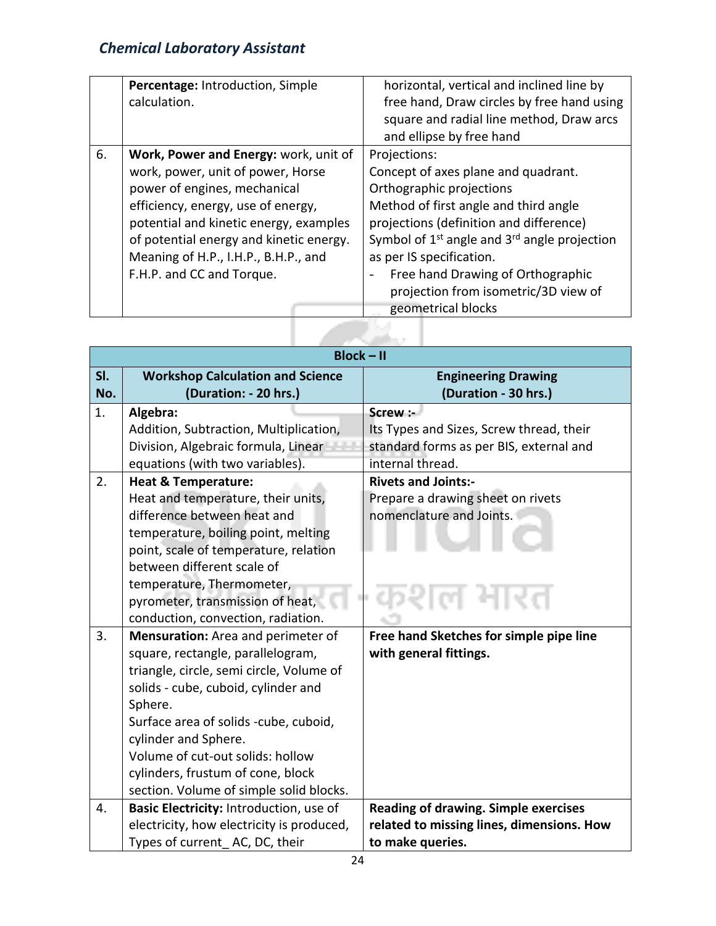|    | Percentage: Introduction, Simple        | horizontal, vertical and inclined line by              |
|----|-----------------------------------------|--------------------------------------------------------|
|    | calculation.                            | free hand, Draw circles by free hand using             |
|    |                                         | square and radial line method, Draw arcs               |
|    |                                         | and ellipse by free hand                               |
| 6. | Work, Power and Energy: work, unit of   | Projections:                                           |
|    | work, power, unit of power, Horse       | Concept of axes plane and quadrant.                    |
|    | power of engines, mechanical            | Orthographic projections                               |
|    | efficiency, energy, use of energy,      | Method of first angle and third angle                  |
|    | potential and kinetic energy, examples  | projections (definition and difference)                |
|    | of potential energy and kinetic energy. | Symbol of $1^{st}$ angle and $3^{rd}$ angle projection |
|    | Meaning of H.P., I.H.P., B.H.P., and    | as per IS specification.                               |
|    | F.H.P. and CC and Torque.               | Free hand Drawing of Orthographic                      |
|    |                                         | projection from isometric/3D view of                   |
|    |                                         | geometrical blocks                                     |

|     | $Block - II$                              |                                             |  |
|-----|-------------------------------------------|---------------------------------------------|--|
| SI. | <b>Workshop Calculation and Science</b>   | <b>Engineering Drawing</b>                  |  |
| No. | (Duration: - 20 hrs.)                     | (Duration - 30 hrs.)                        |  |
| 1.  | Algebra:                                  | Screw :-                                    |  |
|     | Addition, Subtraction, Multiplication,    | Its Types and Sizes, Screw thread, their    |  |
|     | Division, Algebraic formula, Linear       | standard forms as per BIS, external and     |  |
|     | equations (with two variables).           | internal thread.                            |  |
| 2.  | <b>Heat &amp; Temperature:</b>            | <b>Rivets and Joints:-</b>                  |  |
|     | Heat and temperature, their units,        | Prepare a drawing sheet on rivets           |  |
|     | difference between heat and               | nomenclature and Joints.                    |  |
|     | temperature, boiling point, melting       |                                             |  |
|     | point, scale of temperature, relation     |                                             |  |
|     | between different scale of                |                                             |  |
|     | temperature, Thermometer,                 |                                             |  |
|     | pyrometer, transmission of heat,          |                                             |  |
|     | conduction, convection, radiation.        |                                             |  |
| 3.  | Mensuration: Area and perimeter of        | Free hand Sketches for simple pipe line     |  |
|     | square, rectangle, parallelogram,         | with general fittings.                      |  |
|     | triangle, circle, semi circle, Volume of  |                                             |  |
|     | solids - cube, cuboid, cylinder and       |                                             |  |
|     | Sphere.                                   |                                             |  |
|     | Surface area of solids -cube, cuboid,     |                                             |  |
|     | cylinder and Sphere.                      |                                             |  |
|     | Volume of cut-out solids: hollow          |                                             |  |
|     | cylinders, frustum of cone, block         |                                             |  |
|     | section. Volume of simple solid blocks.   |                                             |  |
| 4.  | Basic Electricity: Introduction, use of   | <b>Reading of drawing. Simple exercises</b> |  |
|     | electricity, how electricity is produced, | related to missing lines, dimensions. How   |  |
|     | Types of current AC, DC, their            | to make queries.                            |  |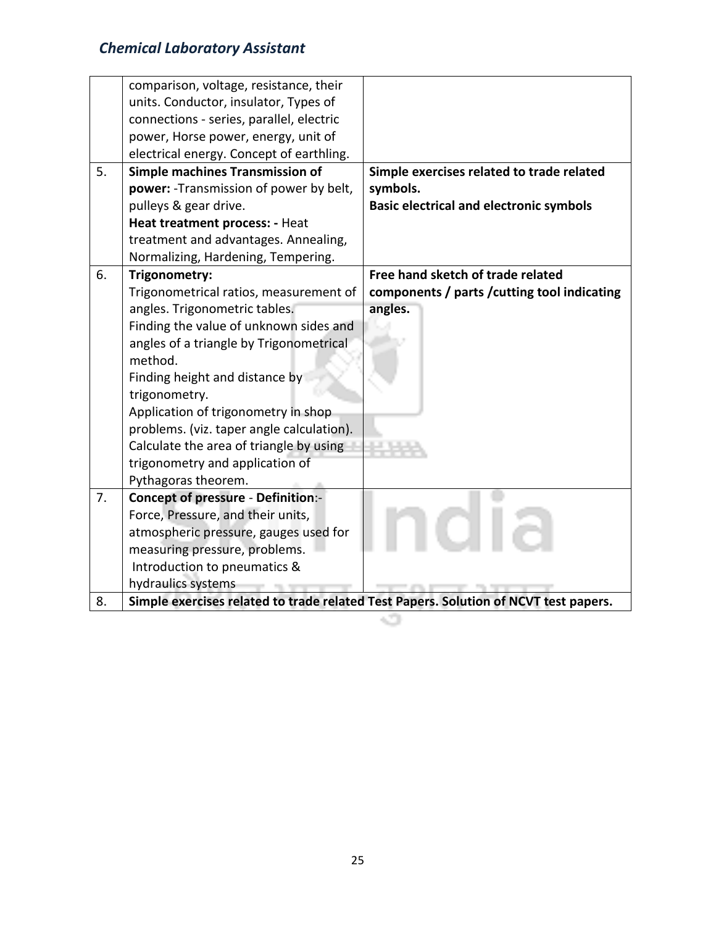|    | comparison, voltage, resistance, their    |                                                                                      |
|----|-------------------------------------------|--------------------------------------------------------------------------------------|
|    | units. Conductor, insulator, Types of     |                                                                                      |
|    | connections - series, parallel, electric  |                                                                                      |
|    | power, Horse power, energy, unit of       |                                                                                      |
|    | electrical energy. Concept of earthling.  |                                                                                      |
| 5. | <b>Simple machines Transmission of</b>    | Simple exercises related to trade related                                            |
|    | power: -Transmission of power by belt,    | symbols.                                                                             |
|    | pulleys & gear drive.                     | <b>Basic electrical and electronic symbols</b>                                       |
|    | Heat treatment process: - Heat            |                                                                                      |
|    | treatment and advantages. Annealing,      |                                                                                      |
|    | Normalizing, Hardening, Tempering.        |                                                                                      |
| 6. | Trigonometry:                             | Free hand sketch of trade related                                                    |
|    | Trigonometrical ratios, measurement of    | components / parts / cutting tool indicating                                         |
|    | angles. Trigonometric tables.             | angles.                                                                              |
|    | Finding the value of unknown sides and    |                                                                                      |
|    | angles of a triangle by Trigonometrical   |                                                                                      |
|    | method.                                   |                                                                                      |
|    | Finding height and distance by            |                                                                                      |
|    | trigonometry.                             |                                                                                      |
|    | Application of trigonometry in shop       |                                                                                      |
|    | problems. (viz. taper angle calculation). |                                                                                      |
|    | Calculate the area of triangle by using!  |                                                                                      |
|    | trigonometry and application of           |                                                                                      |
|    | Pythagoras theorem.                       |                                                                                      |
| 7. | <b>Concept of pressure - Definition:-</b> |                                                                                      |
|    | Force, Pressure, and their units,         |                                                                                      |
|    | atmospheric pressure, gauges used for     |                                                                                      |
|    | measuring pressure, problems.             |                                                                                      |
|    | Introduction to pneumatics &              |                                                                                      |
|    | hydraulics systems                        |                                                                                      |
| 8. |                                           | Simple exercises related to trade related Test Papers. Solution of NCVT test papers. |
|    |                                           |                                                                                      |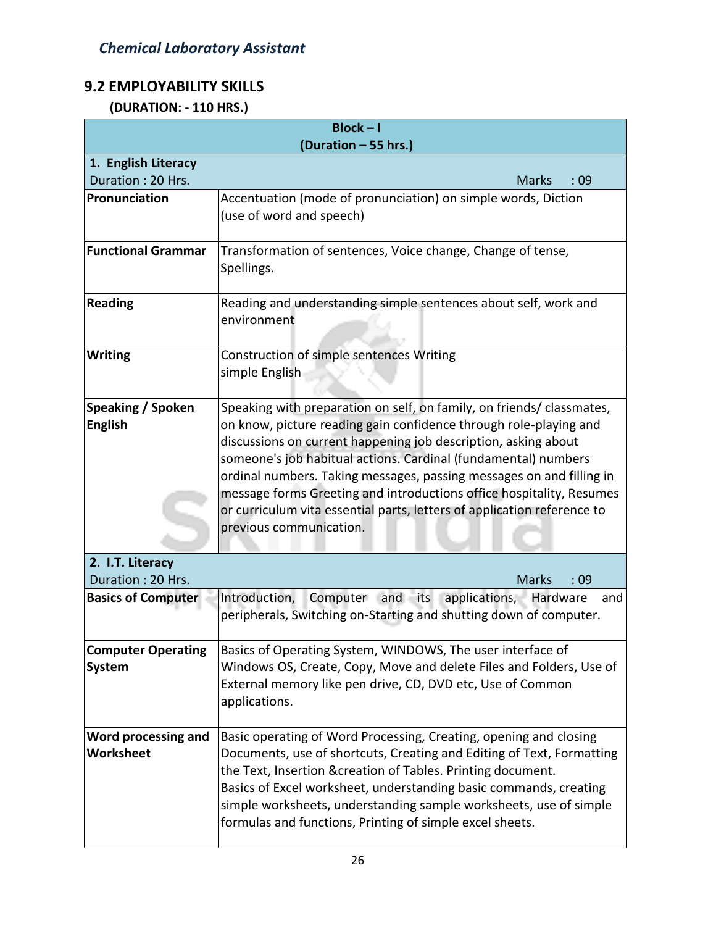#### **9.2 EMPLOYABILITY SKILLS**

 **(DURATION: - 110 HRS.)**

| $Block - I$<br>(Duration - 55 hrs.)                             |                                                                                                                                                                                                                                                                                                                                                                                                                                                                                                                                      |  |  |
|-----------------------------------------------------------------|--------------------------------------------------------------------------------------------------------------------------------------------------------------------------------------------------------------------------------------------------------------------------------------------------------------------------------------------------------------------------------------------------------------------------------------------------------------------------------------------------------------------------------------|--|--|
| 1. English Literacy<br>Duration: 20 Hrs.<br><b>Marks</b><br>:09 |                                                                                                                                                                                                                                                                                                                                                                                                                                                                                                                                      |  |  |
| Pronunciation                                                   | Accentuation (mode of pronunciation) on simple words, Diction<br>(use of word and speech)                                                                                                                                                                                                                                                                                                                                                                                                                                            |  |  |
| <b>Functional Grammar</b>                                       | Transformation of sentences, Voice change, Change of tense,<br>Spellings.                                                                                                                                                                                                                                                                                                                                                                                                                                                            |  |  |
| <b>Reading</b>                                                  | Reading and understanding simple sentences about self, work and<br>environment                                                                                                                                                                                                                                                                                                                                                                                                                                                       |  |  |
| <b>Writing</b>                                                  | Construction of simple sentences Writing<br>simple English                                                                                                                                                                                                                                                                                                                                                                                                                                                                           |  |  |
| Speaking / Spoken<br><b>English</b>                             | Speaking with preparation on self, on family, on friends/ classmates,<br>on know, picture reading gain confidence through role-playing and<br>discussions on current happening job description, asking about<br>someone's job habitual actions. Cardinal (fundamental) numbers<br>ordinal numbers. Taking messages, passing messages on and filling in<br>message forms Greeting and introductions office hospitality, Resumes<br>or curriculum vita essential parts, letters of application reference to<br>previous communication. |  |  |
| 2. I.T. Literacy<br>Duration: 20 Hrs.<br><b>Marks</b><br>:09    |                                                                                                                                                                                                                                                                                                                                                                                                                                                                                                                                      |  |  |
| <b>Basics of Computer</b>                                       | Introduction,<br>Computer and its<br>applications, Hardware<br>and<br>peripherals, Switching on-Starting and shutting down of computer.                                                                                                                                                                                                                                                                                                                                                                                              |  |  |
| <b>Computer Operating</b><br><b>System</b>                      | Basics of Operating System, WINDOWS, The user interface of<br>Windows OS, Create, Copy, Move and delete Files and Folders, Use of<br>External memory like pen drive, CD, DVD etc, Use of Common<br>applications.                                                                                                                                                                                                                                                                                                                     |  |  |
| Word processing and<br><b>Worksheet</b>                         | Basic operating of Word Processing, Creating, opening and closing<br>Documents, use of shortcuts, Creating and Editing of Text, Formatting<br>the Text, Insertion &creation of Tables. Printing document.<br>Basics of Excel worksheet, understanding basic commands, creating<br>simple worksheets, understanding sample worksheets, use of simple<br>formulas and functions, Printing of simple excel sheets.                                                                                                                      |  |  |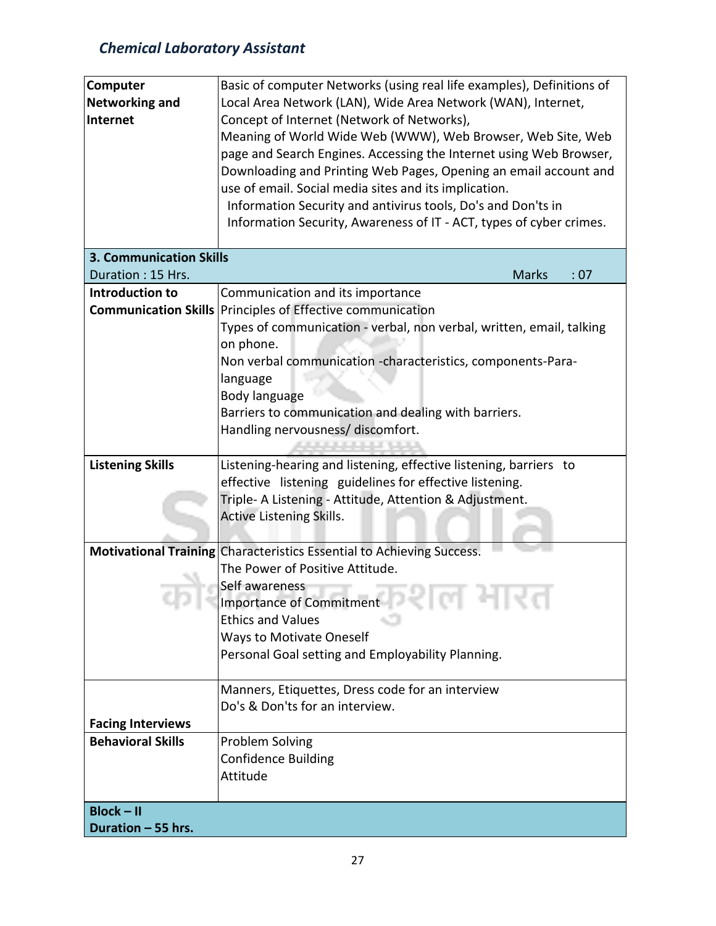| Computer                       | Basic of computer Networks (using real life examples), Definitions of |  |  |
|--------------------------------|-----------------------------------------------------------------------|--|--|
| <b>Networking and</b>          | Local Area Network (LAN), Wide Area Network (WAN), Internet,          |  |  |
| Internet                       | Concept of Internet (Network of Networks),                            |  |  |
|                                | Meaning of World Wide Web (WWW), Web Browser, Web Site, Web           |  |  |
|                                | page and Search Engines. Accessing the Internet using Web Browser,    |  |  |
|                                | Downloading and Printing Web Pages, Opening an email account and      |  |  |
|                                | use of email. Social media sites and its implication.                 |  |  |
|                                | Information Security and antivirus tools, Do's and Don'ts in          |  |  |
|                                | Information Security, Awareness of IT - ACT, types of cyber crimes.   |  |  |
|                                |                                                                       |  |  |
| <b>3. Communication Skills</b> |                                                                       |  |  |
| Duration: 15 Hrs.              | <b>Marks</b><br>:07                                                   |  |  |
| <b>Introduction to</b>         | Communication and its importance                                      |  |  |
|                                | <b>Communication Skills Principles of Effective communication</b>     |  |  |
|                                | Types of communication - verbal, non verbal, written, email, talking  |  |  |
|                                | on phone.                                                             |  |  |
|                                | Non verbal communication -characteristics, components-Para-           |  |  |
|                                | language                                                              |  |  |
|                                | Body language                                                         |  |  |
|                                | Barriers to communication and dealing with barriers.                  |  |  |
|                                | Handling nervousness/ discomfort.                                     |  |  |
|                                |                                                                       |  |  |
| <b>Listening Skills</b>        | Listening-hearing and listening, effective listening, barriers to     |  |  |
|                                | effective listening guidelines for effective listening.               |  |  |
|                                | Triple- A Listening - Attitude, Attention & Adjustment.               |  |  |
|                                | <b>Active Listening Skills.</b>                                       |  |  |
|                                |                                                                       |  |  |
|                                | Motivational Training Characteristics Essential to Achieving Success. |  |  |
|                                | The Power of Positive Attitude.                                       |  |  |
|                                | Self awareness                                                        |  |  |
|                                | Importance of Commitment                                              |  |  |
|                                | <b>Ethics and Values</b>                                              |  |  |
|                                | <b>Ways to Motivate Oneself</b>                                       |  |  |
|                                | Personal Goal setting and Employability Planning.                     |  |  |
|                                |                                                                       |  |  |
|                                | Manners, Etiquettes, Dress code for an interview                      |  |  |
|                                | Do's & Don'ts for an interview.                                       |  |  |
| <b>Facing Interviews</b>       |                                                                       |  |  |
| <b>Behavioral Skills</b>       | Problem Solving                                                       |  |  |
|                                | <b>Confidence Building</b>                                            |  |  |
|                                | Attitude                                                              |  |  |
|                                |                                                                       |  |  |
| $Block - II$                   |                                                                       |  |  |
| Duration - 55 hrs.             |                                                                       |  |  |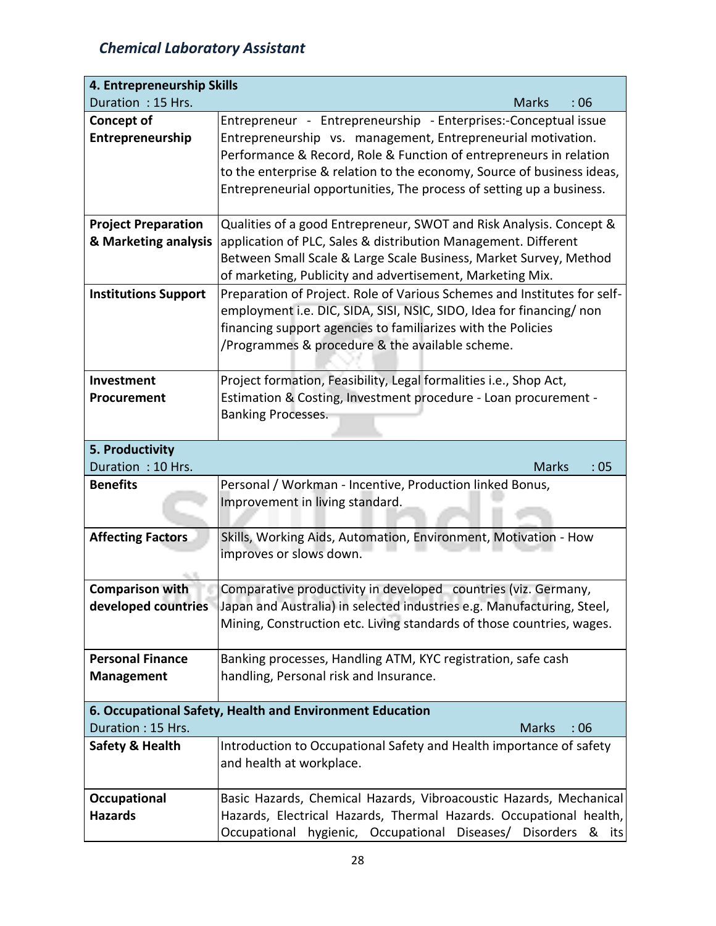| 4. Entrepreneurship Skills  |                                                                                              |
|-----------------------------|----------------------------------------------------------------------------------------------|
| Duration: 15 Hrs.           | :06<br><b>Marks</b>                                                                          |
| <b>Concept of</b>           | Entrepreneur - Entrepreneurship - Enterprises:-Conceptual issue                              |
| Entrepreneurship            | Entrepreneurship vs. management, Entrepreneurial motivation.                                 |
|                             | Performance & Record, Role & Function of entrepreneurs in relation                           |
|                             | to the enterprise & relation to the economy, Source of business ideas,                       |
|                             | Entrepreneurial opportunities, The process of setting up a business.                         |
| <b>Project Preparation</b>  | Qualities of a good Entrepreneur, SWOT and Risk Analysis. Concept &                          |
| & Marketing analysis        | application of PLC, Sales & distribution Management. Different                               |
|                             | Between Small Scale & Large Scale Business, Market Survey, Method                            |
|                             | of marketing, Publicity and advertisement, Marketing Mix.                                    |
| <b>Institutions Support</b> | Preparation of Project. Role of Various Schemes and Institutes for self-                     |
|                             | employment i.e. DIC, SIDA, SISI, NSIC, SIDO, Idea for financing/ non                         |
|                             | financing support agencies to familiarizes with the Policies                                 |
|                             | /Programmes & procedure & the available scheme.                                              |
| Investment                  | Project formation, Feasibility, Legal formalities i.e., Shop Act,                            |
| Procurement                 | Estimation & Costing, Investment procedure - Loan procurement -                              |
|                             | <b>Banking Processes.</b>                                                                    |
|                             |                                                                                              |
| 5. Productivity             |                                                                                              |
| Duration: 10 Hrs.           | <b>Marks</b><br>:05                                                                          |
| <b>Benefits</b>             | Personal / Workman - Incentive, Production linked Bonus,                                     |
|                             | Improvement in living standard.                                                              |
|                             |                                                                                              |
| <b>Affecting Factors</b>    | Skills, Working Aids, Automation, Environment, Motivation - How                              |
|                             | improves or slows down.                                                                      |
|                             |                                                                                              |
| <b>Comparison with</b>      | Comparative productivity in developed countries (viz. Germany,                               |
|                             | developed countries   Japan and Australia) in selected industries e.g. Manufacturing, Steel, |
|                             | Mining, Construction etc. Living standards of those countries, wages.                        |
| <b>Personal Finance</b>     | Banking processes, Handling ATM, KYC registration, safe cash                                 |
| <b>Management</b>           | handling, Personal risk and Insurance.                                                       |
|                             |                                                                                              |
|                             | 6. Occupational Safety, Health and Environment Education                                     |
| Duration: 15 Hrs.           | <b>Marks</b><br>:06                                                                          |
| Safety & Health             | Introduction to Occupational Safety and Health importance of safety                          |
|                             | and health at workplace.                                                                     |
|                             |                                                                                              |
| <b>Occupational</b>         | Basic Hazards, Chemical Hazards, Vibroacoustic Hazards, Mechanical                           |
| <b>Hazards</b>              | Hazards, Electrical Hazards, Thermal Hazards. Occupational health,                           |
|                             | Occupational hygienic, Occupational Diseases/ Disorders<br>&<br>its                          |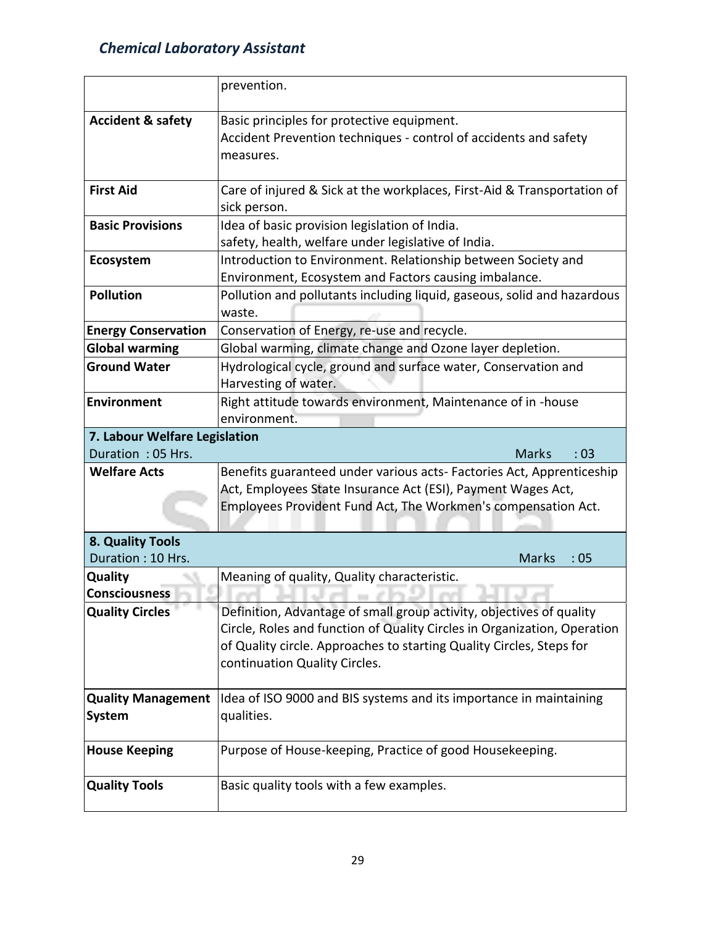|                               | prevention.                                                              |
|-------------------------------|--------------------------------------------------------------------------|
| <b>Accident &amp; safety</b>  | Basic principles for protective equipment.                               |
|                               | Accident Prevention techniques - control of accidents and safety         |
|                               | measures.                                                                |
|                               |                                                                          |
| <b>First Aid</b>              | Care of injured & Sick at the workplaces, First-Aid & Transportation of  |
|                               | sick person.                                                             |
| <b>Basic Provisions</b>       | Idea of basic provision legislation of India.                            |
|                               | safety, health, welfare under legislative of India.                      |
| Ecosystem                     | Introduction to Environment. Relationship between Society and            |
|                               | Environment, Ecosystem and Factors causing imbalance.                    |
| <b>Pollution</b>              | Pollution and pollutants including liquid, gaseous, solid and hazardous  |
|                               | waste.                                                                   |
| <b>Energy Conservation</b>    | Conservation of Energy, re-use and recycle.                              |
| <b>Global warming</b>         | Global warming, climate change and Ozone layer depletion.                |
| <b>Ground Water</b>           | Hydrological cycle, ground and surface water, Conservation and           |
|                               | Harvesting of water.                                                     |
| <b>Environment</b>            | Right attitude towards environment, Maintenance of in -house             |
|                               | environment.                                                             |
| 7. Labour Welfare Legislation |                                                                          |
| Duration: 05 Hrs.             | <b>Marks</b><br>:03                                                      |
| <b>Welfare Acts</b>           | Benefits guaranteed under various acts-Factories Act, Apprenticeship     |
|                               | Act, Employees State Insurance Act (ESI), Payment Wages Act,             |
|                               | Employees Provident Fund Act, The Workmen's compensation Act.            |
|                               |                                                                          |
| 8. Quality Tools              |                                                                          |
| Duration: 10 Hrs.             | <b>Marks</b><br>:05                                                      |
| Quality                       | Meaning of quality, Quality characteristic.                              |
| <b>Consciousness</b>          |                                                                          |
| <b>Quality Circles</b>        | Definition, Advantage of small group activity, objectives of quality     |
|                               | Circle, Roles and function of Quality Circles in Organization, Operation |
|                               | of Quality circle. Approaches to starting Quality Circles, Steps for     |
|                               | continuation Quality Circles.                                            |
|                               |                                                                          |
| <b>Quality Management</b>     | Idea of ISO 9000 and BIS systems and its importance in maintaining       |
| <b>System</b>                 | qualities.                                                               |
| <b>House Keeping</b>          | Purpose of House-keeping, Practice of good Housekeeping.                 |
|                               |                                                                          |
|                               |                                                                          |
| <b>Quality Tools</b>          | Basic quality tools with a few examples.                                 |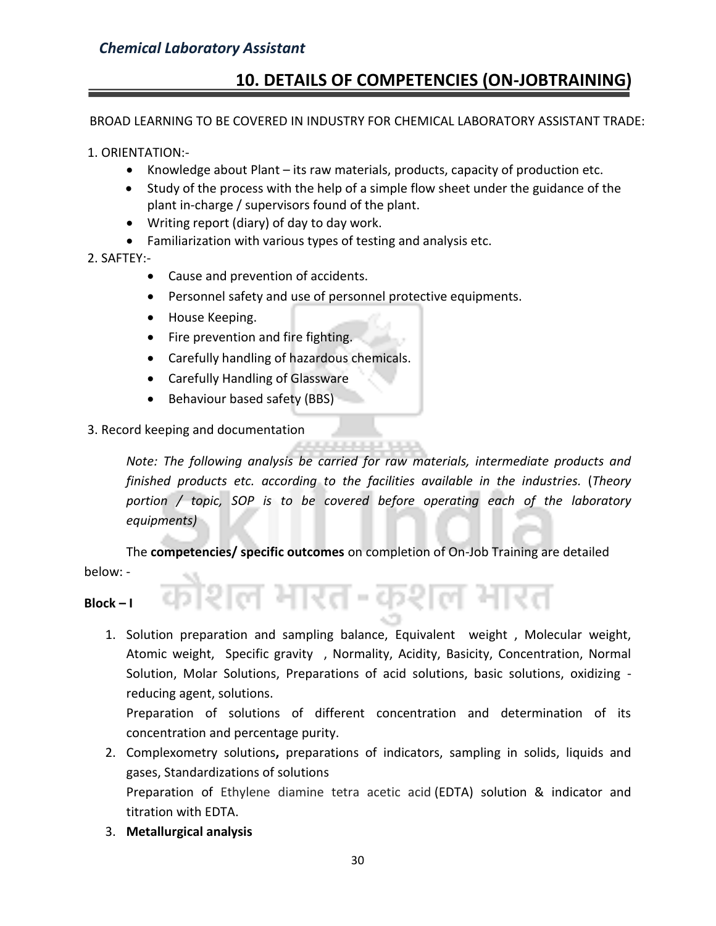#### **10. DETAILS OF COMPETENCIES (ON-JOBTRAINING)**

BROAD LEARNING TO BE COVERED IN INDUSTRY FOR CHEMICAL LABORATORY ASSISTANT TRADE:

- 1. ORIENTATION:-
	- Knowledge about Plant its raw materials, products, capacity of production etc.
	- Study of the process with the help of a simple flow sheet under the guidance of the plant in-charge / supervisors found of the plant.
	- Writing report (diary) of day to day work.
	- Familiarization with various types of testing and analysis etc.

#### 2. SAFTEY:-

- Cause and prevention of accidents.
- Personnel safety and use of personnel protective equipments.
- House Keeping.
- Fire prevention and fire fighting.
- Carefully handling of hazardous chemicals.
- Carefully Handling of Glassware
- Behaviour based safety (BBS)

#### 3. Record keeping and documentation

*Note: The following analysis be carried for raw materials, intermediate products and finished products etc. according to the facilities available in the industries.* (*Theory portion / topic, SOP is to be covered before operating each of the laboratory equipments)*

The **competencies/ specific outcomes** on completion of On-Job Training are detailed below: -

ल भारत-कश

#### $Block - I$

1. Solution preparation and sampling balance, Equivalent weight , Molecular weight, Atomic weight, Specific gravity , Normality, Acidity, Basicity, Concentration, Normal Solution, Molar Solutions, Preparations of acid solutions, basic solutions, oxidizing reducing agent, solutions.

Preparation of solutions of different concentration and determination of its concentration and percentage purity.

- 2. Complexometry solutions**,** preparations of indicators, sampling in solids, liquids and gases, Standardizations of solutions Preparation of Ethylene diamine tetra acetic acid (EDTA) solution & indicator and titration with EDTA.
- 3. **Metallurgical analysis**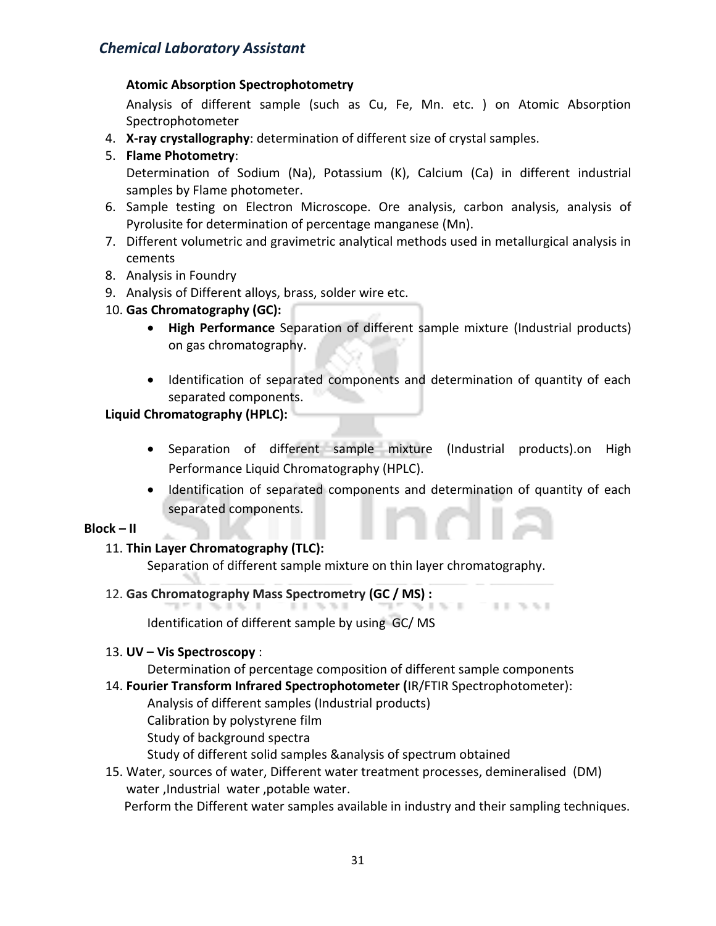#### **Atomic Absorption Spectrophotometry**

Analysis of different sample (such as Cu, Fe, Mn. etc. ) on Atomic Absorption Spectrophotometer

4. **X-ray crystallography**: determination of different size of crystal samples.

#### 5. **Flame Photometry**:

Determination of Sodium (Na), Potassium (K), Calcium (Ca) in different industrial samples by Flame photometer.

- 6. Sample testing on Electron Microscope. Ore analysis, carbon analysis, analysis of Pyrolusite for determination of percentage manganese (Mn).
- 7. Different volumetric and gravimetric analytical methods used in metallurgical analysis in cements
- 8. Analysis in Foundry
- 9. Analysis of Different alloys, brass, solder wire etc.

#### 10. **Gas Chromatography (GC):**

- **High Performance** Separation of different sample mixture (Industrial products) on gas chromatography.
- Identification of separated components and determination of quantity of each separated components.

**Liquid Chromatography (HPLC):**

- Separation of different sample mixture (Industrial products).on High Performance Liquid Chromatography (HPLC).
- Identification of separated components and determination of quantity of each separated components.

THE WALL

and the

#### **Block – II**

#### 11. **Thin Layer Chromatography (TLC):**

Separation of different sample mixture on thin layer chromatography.

12. **Gas Chromatography Mass Spectrometry (GC / MS) :** 

Identification of different sample by using GC/ MS

13. **UV – Vis Spectroscopy** :

Determination of percentage composition of different sample components

- 14. **Fourier Transform Infrared Spectrophotometer (**IR/FTIR Spectrophotometer):
	- Analysis of different samples (Industrial products)

Calibration by polystyrene film

Study of background spectra

Study of different solid samples &analysis of spectrum obtained

15. Water, sources of water, Different water treatment processes, demineralised (DM) water ,Industrial water ,potable water.

Perform the Different water samples available in industry and their sampling techniques.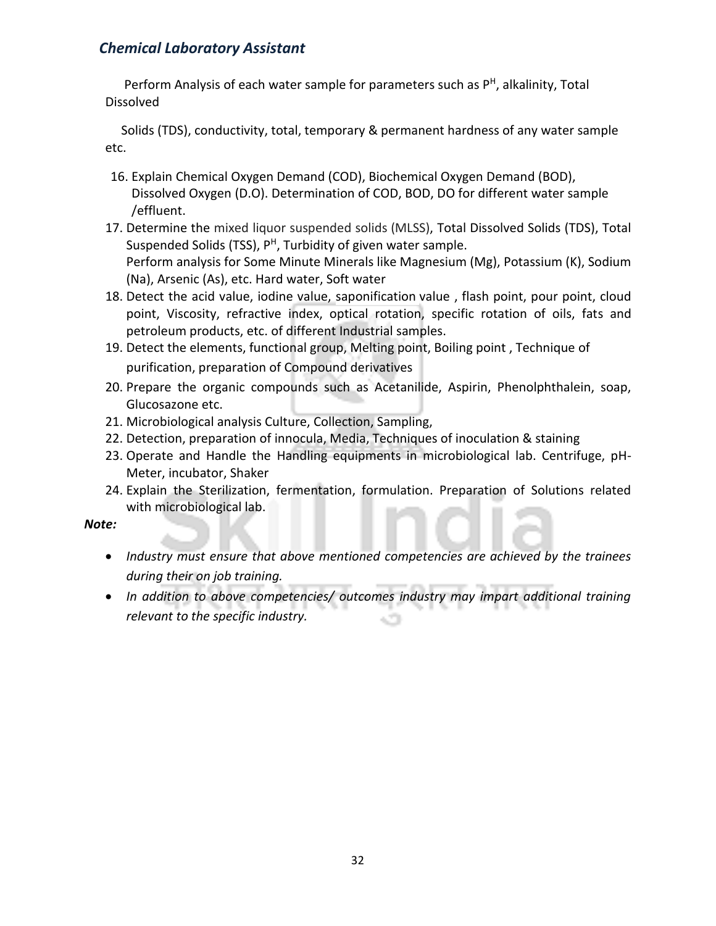Perform Analysis of each water sample for parameters such as P<sup>H</sup>, alkalinity, Total Dissolved

 Solids (TDS), conductivity, total, temporary & permanent hardness of any water sample etc.

- 16. Explain Chemical Oxygen Demand (COD), Biochemical Oxygen Demand (BOD), Dissolved Oxygen (D.O). Determination of COD, BOD, DO for different water sample /effluent.
- 17. Determine the mixed liquor suspended solids (MLSS), Total Dissolved Solids (TDS), Total Suspended Solids (TSS), P<sup>H</sup>, Turbidity of given water sample. Perform analysis for Some Minute Minerals like Magnesium (Mg), Potassium (K), Sodium (Na), Arsenic (As), etc. Hard water, Soft water
- 18. Detect the acid value, iodine value, saponification value , flash point, pour point, cloud point, Viscosity, refractive index, optical rotation, specific rotation of oils, fats and petroleum products, etc. of different Industrial samples.
- 19. Detect the elements, functional group, Melting point, Boiling point , Technique of purification, preparation of Compound derivatives
- 20. Prepare the organic compounds such as Acetanilide, Aspirin, Phenolphthalein, soap, Glucosazone etc.
- 21. Microbiological analysis Culture, Collection, Sampling,
- 22. Detection, preparation of innocula, Media, Techniques of inoculation & staining
- 23. Operate and Handle the Handling equipments in microbiological lab. Centrifuge, pH-Meter, incubator, Shaker
- 24. Explain the Sterilization, fermentation, formulation. Preparation of Solutions related with microbiological lab.

#### *Note:*

- *Industry must ensure that above mentioned competencies are achieved by the trainees during their on job training.*
- *In addition to above competencies/ outcomes industry may impart additional training relevant to the specific industry.*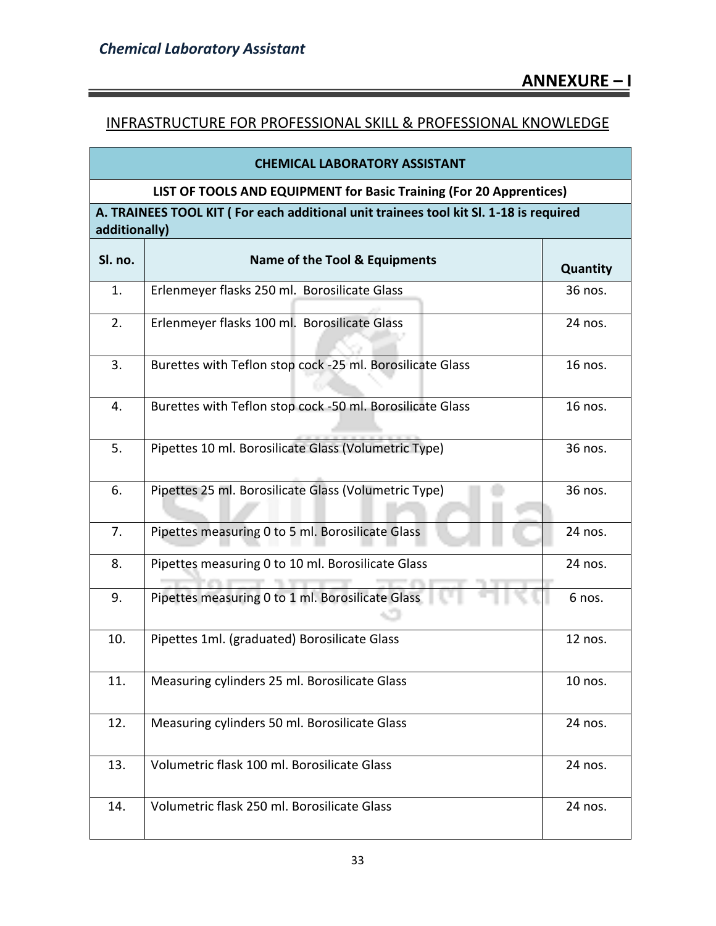#### INFRASTRUCTURE FOR PROFESSIONAL SKILL & PROFESSIONAL KNOWLEDGE

| <b>CHEMICAL LABORATORY ASSISTANT</b>                                |                                                                                                        |          |  |  |  |  |  |  |  |  |
|---------------------------------------------------------------------|--------------------------------------------------------------------------------------------------------|----------|--|--|--|--|--|--|--|--|
| LIST OF TOOLS AND EQUIPMENT for Basic Training (For 20 Apprentices) |                                                                                                        |          |  |  |  |  |  |  |  |  |
|                                                                     | A. TRAINEES TOOL KIT (For each additional unit trainees tool kit Sl. 1-18 is required<br>additionally) |          |  |  |  |  |  |  |  |  |
| Sl. no.                                                             | Name of the Tool & Equipments                                                                          | Quantity |  |  |  |  |  |  |  |  |
| 1.                                                                  | Erlenmeyer flasks 250 ml. Borosilicate Glass                                                           | 36 nos.  |  |  |  |  |  |  |  |  |
| 2.                                                                  | Erlenmeyer flasks 100 ml. Borosilicate Glass                                                           | 24 nos.  |  |  |  |  |  |  |  |  |
| 3.                                                                  | Burettes with Teflon stop cock -25 ml. Borosilicate Glass                                              | 16 nos.  |  |  |  |  |  |  |  |  |
| 4.                                                                  | Burettes with Teflon stop cock -50 ml. Borosilicate Glass                                              | 16 nos.  |  |  |  |  |  |  |  |  |
| 5.                                                                  | Pipettes 10 ml. Borosilicate Glass (Volumetric Type)                                                   | 36 nos.  |  |  |  |  |  |  |  |  |
| 6.                                                                  | Pipettes 25 ml. Borosilicate Glass (Volumetric Type)                                                   | 36 nos.  |  |  |  |  |  |  |  |  |
| 7.                                                                  | Pipettes measuring 0 to 5 ml. Borosilicate Glass                                                       | 24 nos.  |  |  |  |  |  |  |  |  |
| 8.                                                                  | Pipettes measuring 0 to 10 ml. Borosilicate Glass                                                      | 24 nos.  |  |  |  |  |  |  |  |  |
| 9.                                                                  | Pipettes measuring 0 to 1 ml. Borosilicate Glass                                                       | 6 nos.   |  |  |  |  |  |  |  |  |
| 10.                                                                 | Pipettes 1ml. (graduated) Borosilicate Glass                                                           | 12 nos.  |  |  |  |  |  |  |  |  |
| 11.                                                                 | Measuring cylinders 25 ml. Borosilicate Glass                                                          | 10 nos.  |  |  |  |  |  |  |  |  |
| 12.                                                                 | Measuring cylinders 50 ml. Borosilicate Glass                                                          | 24 nos.  |  |  |  |  |  |  |  |  |
| 13.                                                                 | Volumetric flask 100 ml. Borosilicate Glass                                                            | 24 nos.  |  |  |  |  |  |  |  |  |
| 14.                                                                 | Volumetric flask 250 ml. Borosilicate Glass                                                            | 24 nos.  |  |  |  |  |  |  |  |  |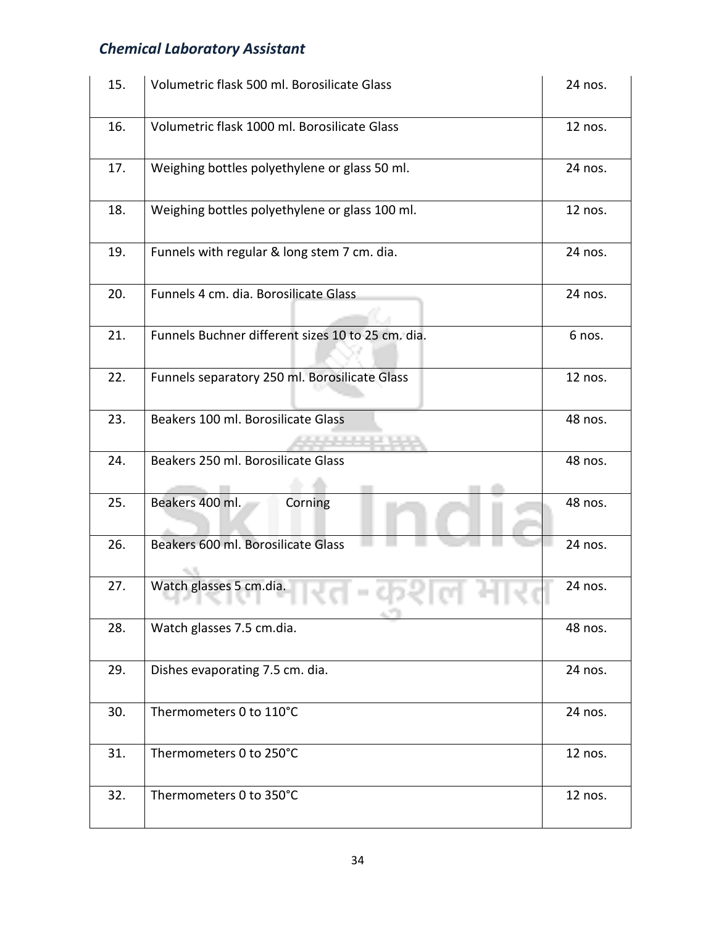| 15. | Volumetric flask 500 ml. Borosilicate Glass       | 24 nos. |
|-----|---------------------------------------------------|---------|
| 16. | Volumetric flask 1000 ml. Borosilicate Glass      | 12 nos. |
| 17. | Weighing bottles polyethylene or glass 50 ml.     | 24 nos. |
| 18. | Weighing bottles polyethylene or glass 100 ml.    | 12 nos. |
| 19. | Funnels with regular & long stem 7 cm. dia.       | 24 nos. |
| 20. | Funnels 4 cm. dia. Borosilicate Glass             | 24 nos. |
| 21. | Funnels Buchner different sizes 10 to 25 cm. dia. | 6 nos.  |
| 22. | Funnels separatory 250 ml. Borosilicate Glass     | 12 nos. |
| 23. | Beakers 100 ml. Borosilicate Glass                | 48 nos. |
| 24. | Beakers 250 ml. Borosilicate Glass                | 48 nos. |
| 25. | Beakers 400 ml.<br>Corning                        | 48 nos. |
| 26. | Beakers 600 ml. Borosilicate Glass                | 24 nos. |
| 27. | Watch glasses 5 cm.dia.                           | 24 nos. |
| 28. | Watch glasses 7.5 cm.dia.                         | 48 nos. |
| 29. | Dishes evaporating 7.5 cm. dia.                   | 24 nos. |
| 30. | Thermometers 0 to 110°C                           | 24 nos. |
| 31. | Thermometers 0 to 250°C                           | 12 nos. |
| 32. | Thermometers 0 to 350°C                           | 12 nos. |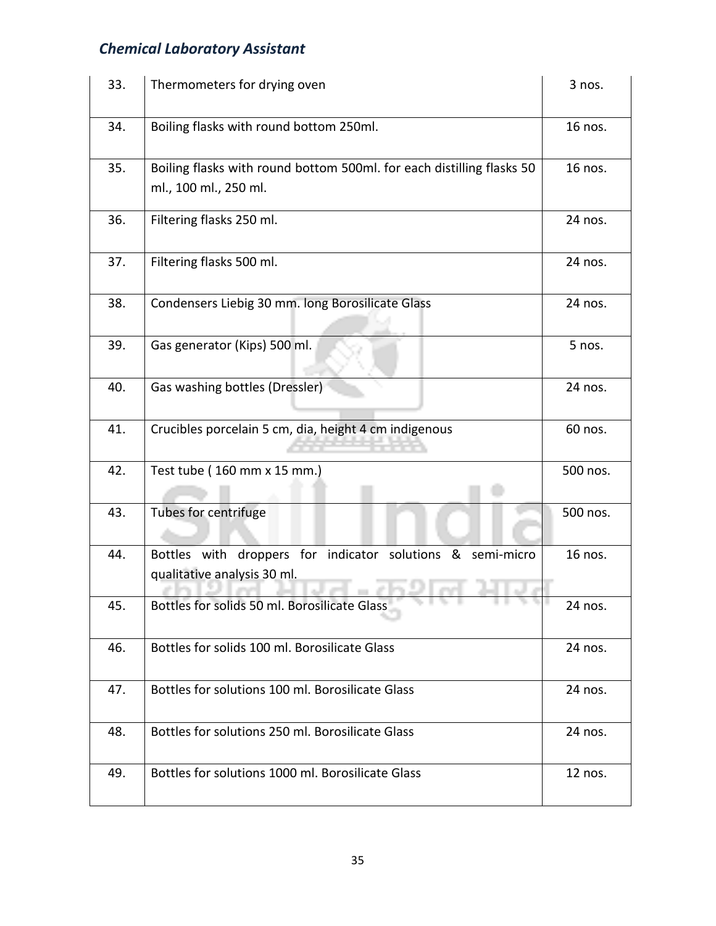| 33. | Thermometers for drying oven                                                                   | 3 nos.   |
|-----|------------------------------------------------------------------------------------------------|----------|
| 34. | Boiling flasks with round bottom 250ml.                                                        | 16 nos.  |
| 35. | Boiling flasks with round bottom 500ml. for each distilling flasks 50<br>ml., 100 ml., 250 ml. | 16 nos.  |
| 36. | Filtering flasks 250 ml.                                                                       | 24 nos.  |
| 37. | Filtering flasks 500 ml.                                                                       | 24 nos.  |
| 38. | Condensers Liebig 30 mm. long Borosilicate Glass                                               | 24 nos.  |
| 39. | Gas generator (Kips) 500 ml.                                                                   | 5 nos.   |
| 40. | Gas washing bottles (Dressler)                                                                 | 24 nos.  |
| 41. | Crucibles porcelain 5 cm, dia, height 4 cm indigenous                                          | 60 nos.  |
| 42. | Test tube (160 mm x 15 mm.)                                                                    | 500 nos. |
| 43. | Tubes for centrifuge                                                                           | 500 nos. |
| 44. | Bottles with droppers for indicator solutions & semi-micro<br>qualitative analysis 30 ml.      | 16 nos.  |
| 45. | Bottles for solids 50 ml. Borosilicate Glass                                                   | 24 nos.  |
| 46. | Bottles for solids 100 ml. Borosilicate Glass                                                  | 24 nos.  |
| 47. | Bottles for solutions 100 ml. Borosilicate Glass                                               | 24 nos.  |
| 48. | Bottles for solutions 250 ml. Borosilicate Glass                                               | 24 nos.  |
| 49. | Bottles for solutions 1000 ml. Borosilicate Glass                                              | 12 nos.  |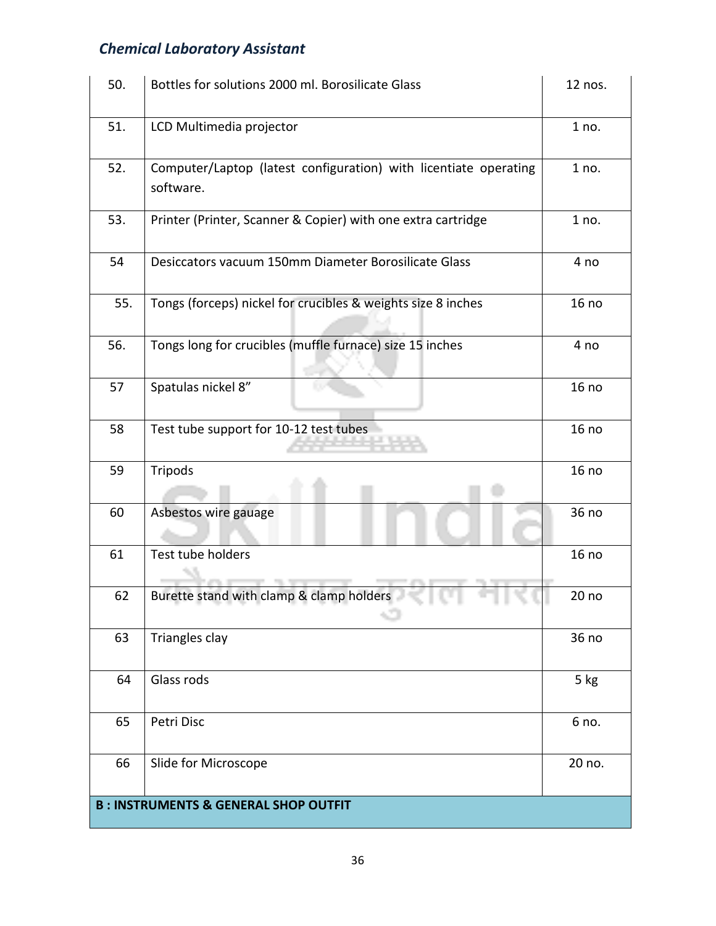| 50. | Bottles for solutions 2000 ml. Borosilicate Glass                             | 12 nos.          |
|-----|-------------------------------------------------------------------------------|------------------|
| 51. | LCD Multimedia projector                                                      | 1 no.            |
| 52. | Computer/Laptop (latest configuration) with licentiate operating<br>software. | 1 no.            |
| 53. | Printer (Printer, Scanner & Copier) with one extra cartridge                  | 1 no.            |
| 54  | Desiccators vacuum 150mm Diameter Borosilicate Glass                          | 4 no             |
| 55. | Tongs (forceps) nickel for crucibles & weights size 8 inches                  | 16 no            |
| 56. | Tongs long for crucibles (muffle furnace) size 15 inches                      | 4 no             |
| 57  | Spatulas nickel 8"                                                            | 16 no            |
| 58  | Test tube support for 10-12 test tubes                                        | 16 no            |
| 59  | Tripods                                                                       | 16 no            |
| 60  | Asbestos wire gauage                                                          | 36 no            |
| 61  | Test tube holders                                                             | 16 no            |
| 62  | Burette stand with clamp & clamp holders                                      | 20 <sub>no</sub> |
| 63  | Triangles clay                                                                | 36 no            |
| 64  | Glass rods                                                                    | 5 kg             |
| 65  | Petri Disc                                                                    | 6 no.            |
| 66  | Slide for Microscope                                                          | 20 no.           |
|     | <b>B: INSTRUMENTS &amp; GENERAL SHOP OUTFIT</b>                               |                  |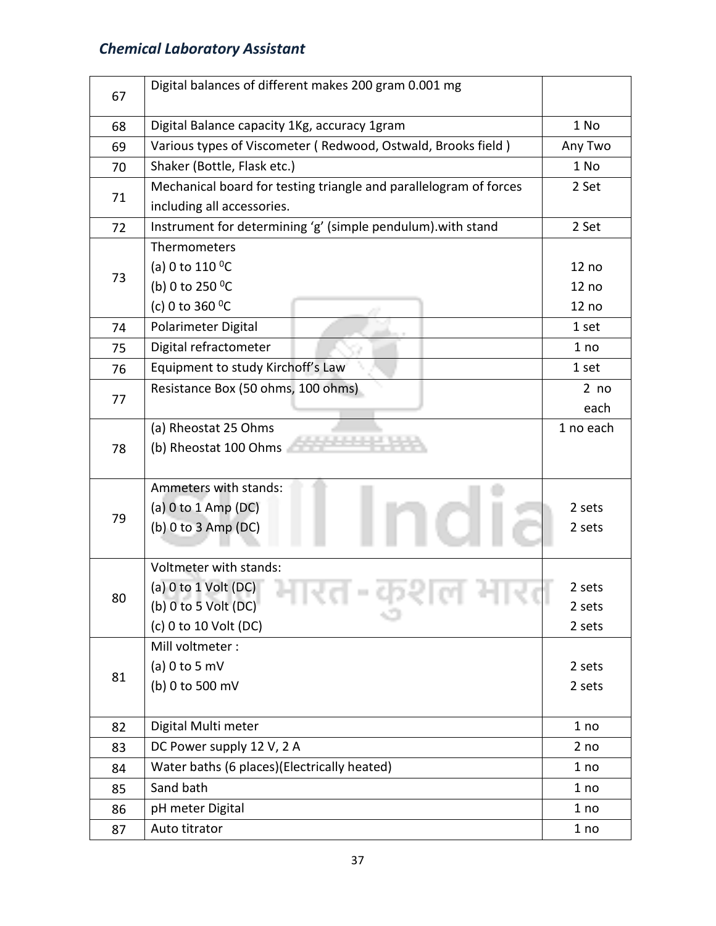| 67 | Digital balances of different makes 200 gram 0.001 mg                                                                                 |                            |
|----|---------------------------------------------------------------------------------------------------------------------------------------|----------------------------|
| 68 | Digital Balance capacity 1Kg, accuracy 1gram                                                                                          | 1 No                       |
| 69 | Various types of Viscometer (Redwood, Ostwald, Brooks field)                                                                          | Any Two                    |
| 70 | Shaker (Bottle, Flask etc.)                                                                                                           | 1 No                       |
| 71 | Mechanical board for testing triangle and parallelogram of forces<br>including all accessories.                                       | 2 Set                      |
| 72 | Instrument for determining 'g' (simple pendulum). with stand                                                                          | 2 Set                      |
| 73 | Thermometers<br>(a) 0 to 110 $^0$ C<br>(b) 0 to 250 $^{\circ}$ C<br>(c) 0 to 360 $^{\circ}$ C                                         | 12no<br>12no<br>12no       |
| 74 | Polarimeter Digital                                                                                                                   | 1 set                      |
| 75 | Digital refractometer                                                                                                                 | 1 no                       |
| 76 | Equipment to study Kirchoff's Law                                                                                                     | 1 set                      |
|    | Resistance Box (50 ohms, 100 ohms)                                                                                                    | 2 no                       |
| 77 |                                                                                                                                       | each                       |
| 78 | (a) Rheostat 25 Ohms<br>(b) Rheostat 100 Ohms                                                                                         | 1 no each                  |
| 79 | Ammeters with stands:<br>(a) $0$ to $1$ Amp (DC)<br>(b) 0 to 3 Amp (DC)                                                               | 2 sets<br>2 sets           |
| 80 | Voltmeter with stands:<br>(a) 0 to 1 Volt (DC)<br>(b) 0 to 5 Volt (DC)<br>. .<br><b>The Theory</b><br>No. 11<br>(c) 0 to 10 Volt (DC) | 2 sets<br>2 sets<br>2 sets |
| 81 | Mill voltmeter :<br>(a) $0$ to $5$ mV<br>(b) 0 to 500 mV                                                                              | 2 sets<br>2 sets           |
| 82 | Digital Multi meter                                                                                                                   | 1 no                       |
| 83 | DC Power supply 12 V, 2 A                                                                                                             | 2 <sub>no</sub>            |
| 84 | Water baths (6 places)(Electrically heated)                                                                                           | 1 no                       |
| 85 | Sand bath                                                                                                                             | 1 no                       |
| 86 | pH meter Digital                                                                                                                      | 1 no                       |
| 87 | Auto titrator                                                                                                                         | 1 no                       |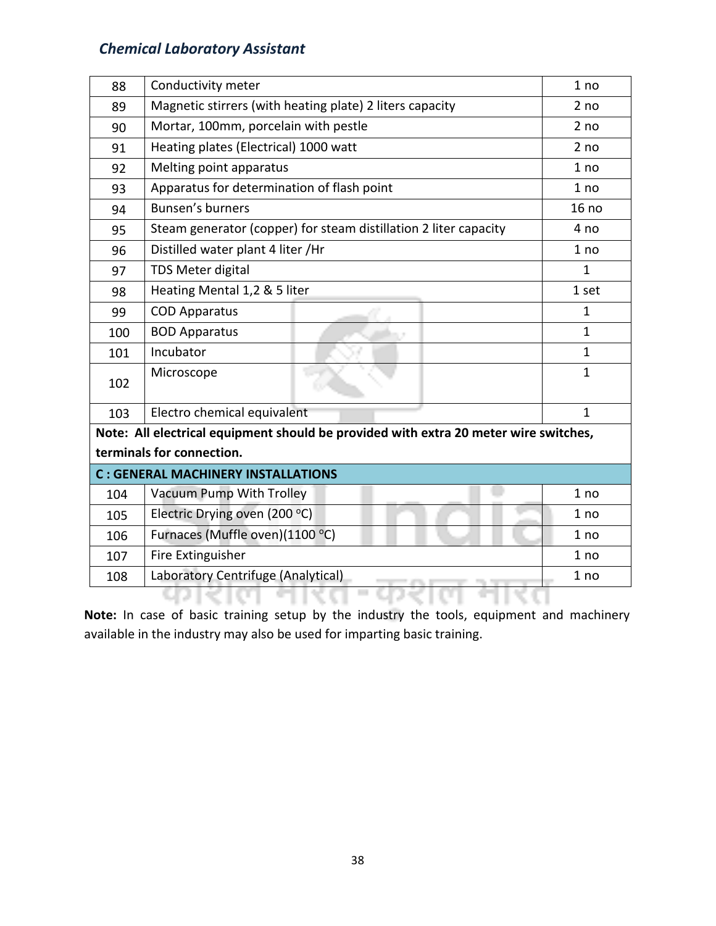| 88  | Conductivity meter                                       | 1 no                                                                                 |                 |
|-----|----------------------------------------------------------|--------------------------------------------------------------------------------------|-----------------|
| 89  | Magnetic stirrers (with heating plate) 2 liters capacity | 2 <sub>no</sub>                                                                      |                 |
| 90  | Mortar, 100mm, porcelain with pestle                     | 2 <sub>no</sub>                                                                      |                 |
| 91  | Heating plates (Electrical) 1000 watt                    |                                                                                      | 2 <sub>no</sub> |
| 92  | Melting point apparatus                                  |                                                                                      | 1 no            |
| 93  | Apparatus for determination of flash point               |                                                                                      | 1 no            |
| 94  | <b>Bunsen's burners</b>                                  |                                                                                      | 16 no           |
| 95  |                                                          | Steam generator (copper) for steam distillation 2 liter capacity                     | 4 no            |
| 96  | Distilled water plant 4 liter /Hr                        |                                                                                      | 1 no            |
| 97  | <b>TDS Meter digital</b>                                 |                                                                                      | $\mathbf{1}$    |
| 98  | Heating Mental 1,2 & 5 liter                             |                                                                                      | 1 set           |
| 99  | <b>COD Apparatus</b>                                     |                                                                                      | $\mathbf{1}$    |
| 100 | <b>BOD Apparatus</b>                                     |                                                                                      | $\mathbf{1}$    |
| 101 | Incubator                                                | $\mathbf{1}$                                                                         |                 |
| 102 | Microscope                                               | $\mathbf{1}$                                                                         |                 |
| 103 | Electro chemical equivalent                              |                                                                                      | $\mathbf{1}$    |
|     |                                                          | Note: All electrical equipment should be provided with extra 20 meter wire switches, |                 |
|     | terminals for connection.                                |                                                                                      |                 |
|     | <b>C: GENERAL MACHINERY INSTALLATIONS</b>                |                                                                                      |                 |
| 104 | Vacuum Pump With Trolley                                 |                                                                                      | 1 no            |
| 105 | Electric Drying oven (200 °C)                            |                                                                                      | 1 no            |
| 106 | Furnaces (Muffle oven)(1100 °C)                          |                                                                                      | 1 no            |
| 107 | Fire Extinguisher                                        |                                                                                      | 1 no            |
| 108 | Laboratory Centrifuge (Analytical)                       | <b>CONTRACTOR</b><br>- 23                                                            | 1 no            |

**Note:** In case of basic training setup by the industry the tools, equipment and machinery available in the industry may also be used for imparting basic training.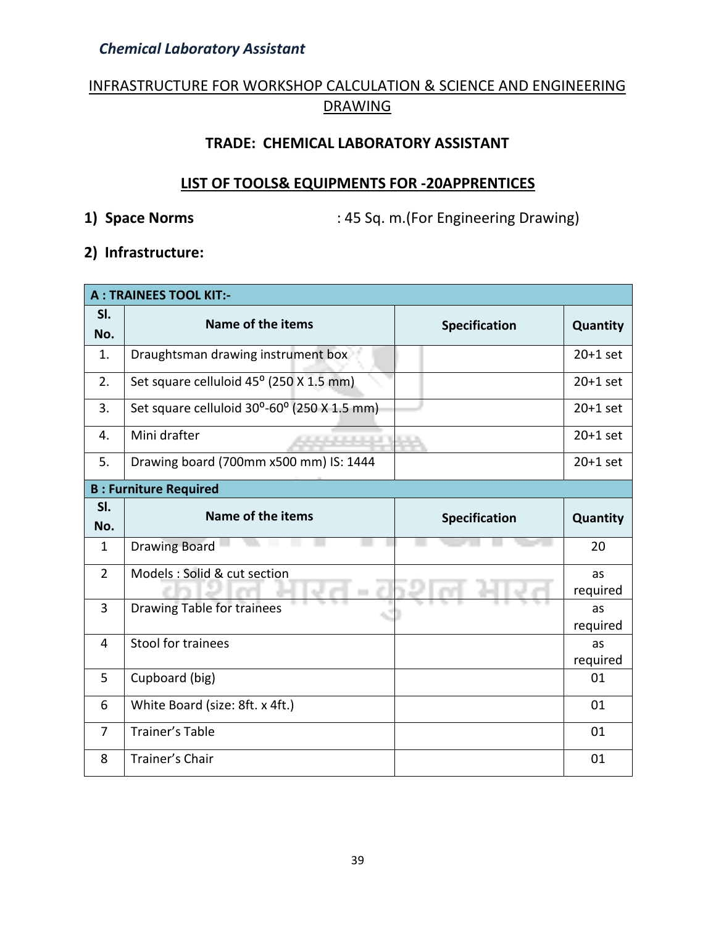#### INFRASTRUCTURE FOR WORKSHOP CALCULATION & SCIENCE AND ENGINEERING DRAWING

#### **TRADE: CHEMICAL LABORATORY ASSISTANT**

#### **LIST OF TOOLS& EQUIPMENTS FOR -20APPRENTICES**

**1) Space Norms** : 45 Sq. m.(For Engineering Drawing)

#### **2) Infrastructure:**

|                | <b>A: TRAINEES TOOL KIT:-</b>               |                      |                |
|----------------|---------------------------------------------|----------------------|----------------|
| SI.<br>No.     | Name of the items                           | <b>Specification</b> | Quantity       |
| 1.             | Draughtsman drawing instrument box          |                      | $20+1$ set     |
| 2.             | Set square celluloid 45° (250 X 1.5 mm)     |                      | $20+1$ set     |
| 3.             | Set square celluloid 30°-60° (250 X 1.5 mm) |                      | $20+1$ set     |
| 4.             | Mini drafter                                |                      | $20+1$ set     |
| 5.             | Drawing board (700mm x500 mm) IS: 1444      |                      | $20+1$ set     |
|                | <b>B: Furniture Required</b>                |                      |                |
| SI.<br>No.     | Name of the items                           | <b>Specification</b> | Quantity       |
| $\mathbf{1}$   | <b>Drawing Board</b>                        |                      | 20             |
| $\overline{2}$ | Models: Solid & cut section                 |                      | as<br>required |
| 3              |                                             |                      |                |
|                | <b>Drawing Table for trainees</b>           |                      | as<br>required |
| 4              | Stool for trainees                          |                      | as             |
| 5              | Cupboard (big)                              |                      | required<br>01 |
| 6              | White Board (size: 8ft. x 4ft.)             |                      | 01             |
| $\overline{7}$ | <b>Trainer's Table</b>                      |                      | 01             |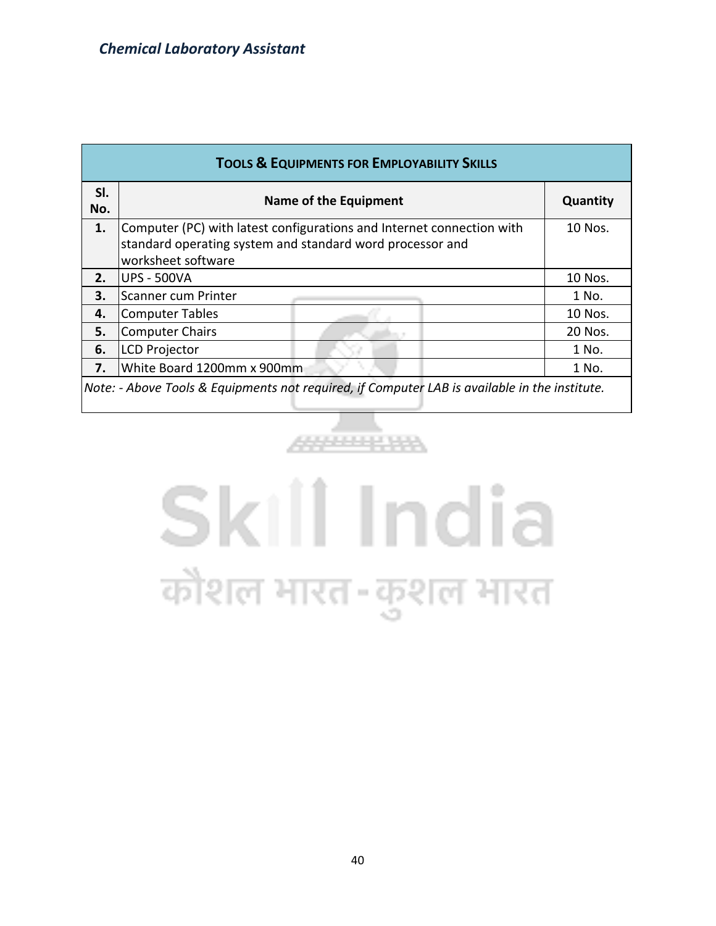| <b>TOOLS &amp; EQUIPMENTS FOR EMPLOYABILITY SKILLS</b> |                                                                                                                                                          |         |  |  |  |  |  |  |  |
|--------------------------------------------------------|----------------------------------------------------------------------------------------------------------------------------------------------------------|---------|--|--|--|--|--|--|--|
| SI.<br>No.                                             | <b>Name of the Equipment</b>                                                                                                                             |         |  |  |  |  |  |  |  |
| 1.                                                     | Computer (PC) with latest configurations and Internet connection with<br>standard operating system and standard word processor and<br>worksheet software | 10 Nos. |  |  |  |  |  |  |  |
| 2.                                                     | <b>UPS - 500VA</b>                                                                                                                                       |         |  |  |  |  |  |  |  |
| 3.                                                     | Scanner cum Printer                                                                                                                                      | 1 No.   |  |  |  |  |  |  |  |
| 4.                                                     | <b>Computer Tables</b>                                                                                                                                   | 10 Nos. |  |  |  |  |  |  |  |
| 5.                                                     | <b>Computer Chairs</b>                                                                                                                                   | 20 Nos. |  |  |  |  |  |  |  |
| 6.                                                     | <b>LCD Projector</b>                                                                                                                                     | 1 No.   |  |  |  |  |  |  |  |
| 7.                                                     | White Board 1200mm x 900mm                                                                                                                               | 1 No.   |  |  |  |  |  |  |  |
|                                                        | Note: - Above Tools & Equipments not required, if Computer LAB is available in the institute.                                                            |         |  |  |  |  |  |  |  |

# Skill India कौशल भारत-कुशल भारत

66666667668